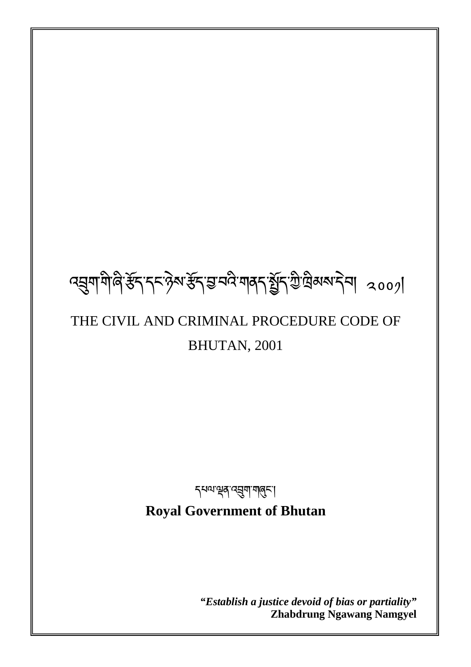# ব্রুমাশীণ স্টব্দ কর্ম্ব্রুমার্স্টব্রন্স বিদ্যালিকারী ২০০০।

## THE CIVIL AND CRIMINAL PROCEDURE CODE OF BHUTAN, 2001

<sub>ร</sub>्यव्यञ्चत्रपत्र्युषायालुरू।

**Royal Government of Bhutan** 

1

*"Establish a justice devoid of bias or partiality"*  **Zhabdrung Ngawang Namgyel**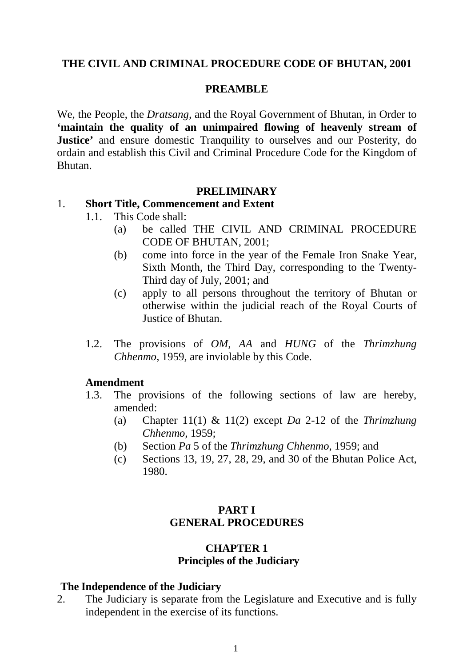## **THE CIVIL AND CRIMINAL PROCEDURE CODE OF BHUTAN, 2001**

#### **PREAMBLE**

We, the People, the *Dratsang,* and the Royal Government of Bhutan, in Order to **'maintain the quality of an unimpaired flowing of heavenly stream of Justice'** and ensure domestic Tranquility to ourselves and our Posterity, do ordain and establish this Civil and Criminal Procedure Code for the Kingdom of Bhutan.

#### **PRELIMINARY**

#### 1. **Short Title, Commencement and Extent**

- 1.1. This Code shall:
	- (a) be called THE CIVIL AND CRIMINAL PROCEDURE CODE OF BHUTAN, 2001;
	- (b) come into force in the year of the Female Iron Snake Year*,* Sixth Month, the Third Day, corresponding to the Twenty-Third day of July, 2001; and
	- (c) apply to all persons throughout the territory of Bhutan or otherwise within the judicial reach of the Royal Courts of Justice of Bhutan.
- 1.2. The provisions of *OM, AA* and *HUNG* of the *Thrimzhung Chhenmo*, 1959, are inviolable by this Code.

#### **Amendment**

- 1.3. The provisions of the following sections of law are hereby, amended:
	- (a) Chapter 11(1) & 11(2) except *Da* 2-12 of the *Thrimzhung Chhenmo*, 1959;
	- (b) Section *Pa* 5 of the *Thrimzhung Chhenmo*, 1959; and
	- (c) Sections 13, 19, 27, 28, 29, and 30 of the Bhutan Police Act, 1980.

#### **PART I GENERAL PROCEDURES**

## **CHAPTER 1 Principles of the Judiciary**

#### **The Independence of the Judiciary**

2. The Judiciary is separate from the Legislature and Executive and is fully independent in the exercise of its functions.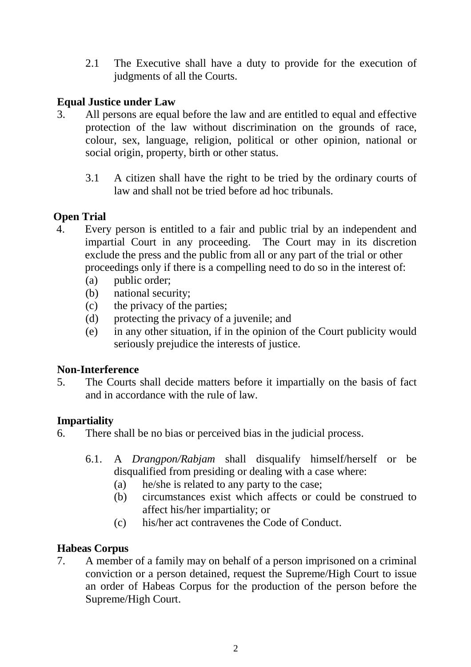2.1 The Executive shall have a duty to provide for the execution of judgments of all the Courts.

## **Equal Justice under Law**

- 3. All persons are equal before the law and are entitled to equal and effective protection of the law without discrimination on the grounds of race, colour, sex, language, religion, political or other opinion, national or social origin, property, birth or other status.
	- 3.1 A citizen shall have the right to be tried by the ordinary courts of law and shall not be tried before ad hoc tribunals.

## **Open Trial**

- 4. Every person is entitled to a fair and public trial by an independent and impartial Court in any proceeding. The Court may in its discretion exclude the press and the public from all or any part of the trial or other proceedings only if there is a compelling need to do so in the interest of:
	- (a) public order;
	- (b) national security;
	- (c) the privacy of the parties;
	- (d) protecting the privacy of a juvenile; and
	- (e) in any other situation, if in the opinion of the Court publicity would seriously prejudice the interests of justice.

## **Non-Interference**

5. The Courts shall decide matters before it impartially on the basis of fact and in accordance with the rule of law.

## **Impartiality**

- 6. There shall be no bias or perceived bias in the judicial process.
	- 6.1. A *Drangpon/Rabjam* shall disqualify himself/herself or be disqualified from presiding or dealing with a case where:
		- (a) he/she is related to any party to the case;
		- (b) circumstances exist which affects or could be construed to affect his/her impartiality; or
		- (c) his/her act contravenes the Code of Conduct.

## **Habeas Corpus**

7. A member of a family may on behalf of a person imprisoned on a criminal conviction or a person detained, request the Supreme/High Court to issue an order of Habeas Corpus for the production of the person before the Supreme/High Court.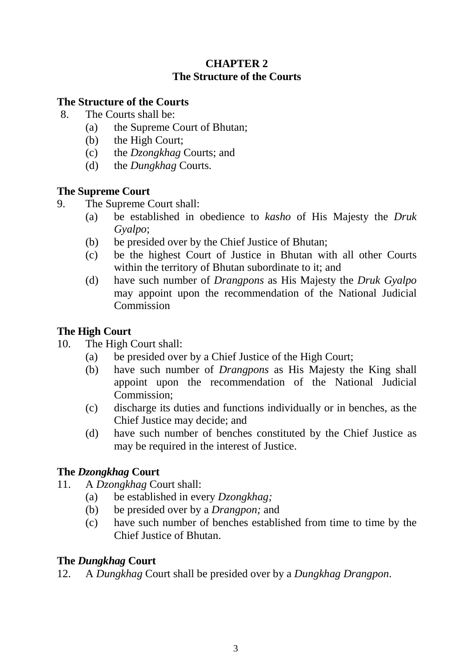## **CHAPTER 2 The Structure of the Courts**

## **The Structure of the Courts**

- 8. The Courts shall be:
	- (a) the Supreme Court of Bhutan;
	- (b) the High Court;
	- (c) the *Dzongkhag* Courts; and
	- (d) the *Dungkhag* Courts.

## **The Supreme Court**

- 9. The Supreme Court shall:
	- (a) be established in obedience to *kasho* of His Majesty the *Druk Gyalpo*;
	- (b) be presided over by the Chief Justice of Bhutan;
	- (c) be the highest Court of Justice in Bhutan with all other Courts within the territory of Bhutan subordinate to it; and
	- (d) have such number of *Drangpons* as His Majesty the *Druk Gyalpo* may appoint upon the recommendation of the National Judicial **Commission**

## **The High Court**

- 10. The High Court shall:
	- (a) be presided over by a Chief Justice of the High Court;
	- (b) have such number of *Drangpons* as His Majesty the King shall appoint upon the recommendation of the National Judicial Commission;
	- (c) discharge its duties and functions individually or in benches, as the Chief Justice may decide; and
	- (d) have such number of benches constituted by the Chief Justice as may be required in the interest of Justice.

## **The** *Dzongkhag* **Court**

- 11. A *Dzongkhag* Court shall:
	- (a) be established in every *Dzongkhag;*
	- (b) be presided over by a *Drangpon;* and
	- (c) have such number of benches established from time to time by the Chief Justice of Bhutan.

## **The** *Dungkhag* **Court**

12. A *Dungkhag* Court shall be presided over by a *Dungkhag Drangpon*.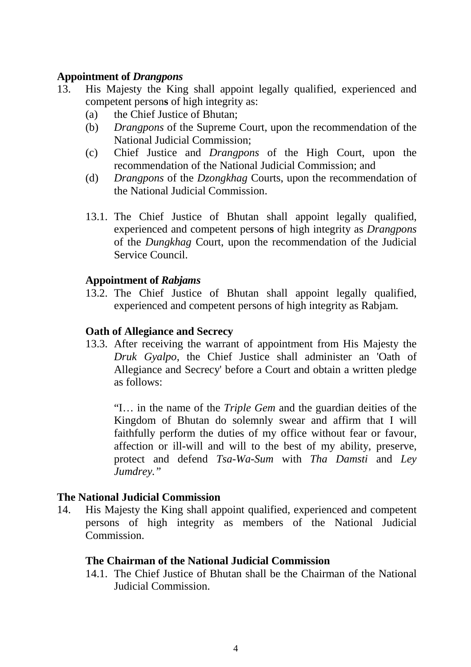#### **Appointment of** *Drangpons*

- 13. His Majesty the King shall appoint legally qualified, experienced and competent person**s** of high integrity as:
	- (a) the Chief Justice of Bhutan;
	- (b) *Drangpons* of the Supreme Court, upon the recommendation of the National Judicial Commission;
	- (c) Chief Justice and *Drangpons* of the High Court, upon the recommendation of the National Judicial Commission; and
	- (d) *Drangpons* of the *Dzongkhag* Courts, upon the recommendation of the National Judicial Commission.
	- 13.1. The Chief Justice of Bhutan shall appoint legally qualified, experienced and competent person**s** of high integrity as *Drangpons* of the *Dungkhag* Court, upon the recommendation of the Judicial Service Council.

#### **Appointment of** *Rabjams*

13.2. The Chief Justice of Bhutan shall appoint legally qualified, experienced and competent persons of high integrity as Rabjam*.*

### **Oath of Allegiance and Secrecy**

13.3. After receiving the warrant of appointment from His Majesty the *Druk Gyalpo*, the Chief Justice shall administer an 'Oath of Allegiance and Secrecy' before a Court and obtain a written pledge as follows:

"I… in the name of the *Triple Gem* and the guardian deities of the Kingdom of Bhutan do solemnly swear and affirm that I will faithfully perform the duties of my office without fear or favour, affection or ill-will and will to the best of my ability, preserve, protect and defend *Tsa-Wa-Sum* with *Tha Damsti* and *Ley Jumdrey."*

## **The National Judicial Commission**

14. His Majesty the King shall appoint qualified, experienced and competent persons of high integrity as members of the National Judicial Commission.

## **The Chairman of the National Judicial Commission**

14.1. The Chief Justice of Bhutan shall be the Chairman of the National Judicial Commission.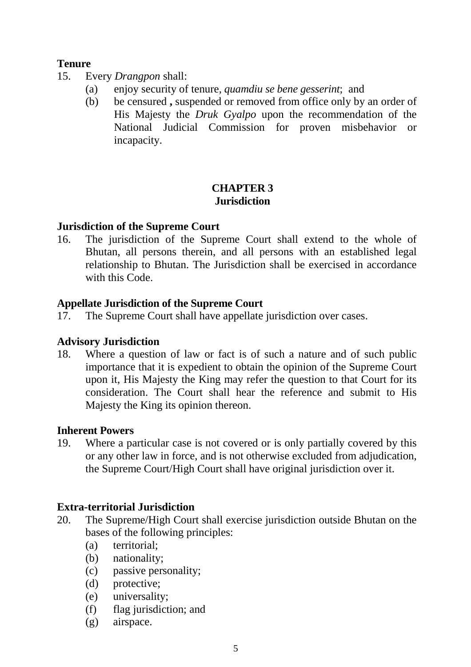## **Tenure**

- 15. Every *Drangpon* shall:
	- (a) enjoy security of tenure, *quamdiu se bene gesserint*; and
	- (b) be censured **,** suspended or removed from office only by an order of His Majesty the *Druk Gyalpo* upon the recommendation of the National Judicial Commission for proven misbehavior or incapacity.

## **CHAPTER 3 Jurisdiction**

### **Jurisdiction of the Supreme Court**

16. The jurisdiction of the Supreme Court shall extend to the whole of Bhutan, all persons therein, and all persons with an established legal relationship to Bhutan. The Jurisdiction shall be exercised in accordance with this Code

### **Appellate Jurisdiction of the Supreme Court**

17. The Supreme Court shall have appellate jurisdiction over cases.

#### **Advisory Jurisdiction**

18. Where a question of law or fact is of such a nature and of such public importance that it is expedient to obtain the opinion of the Supreme Court upon it, His Majesty the King may refer the question to that Court for its consideration. The Court shall hear the reference and submit to His Majesty the King its opinion thereon.

#### **Inherent Powers**

19. Where a particular case is not covered or is only partially covered by this or any other law in force, and is not otherwise excluded from adjudication, the Supreme Court/High Court shall have original jurisdiction over it.

#### **Extra-territorial Jurisdiction**

- 20. The Supreme/High Court shall exercise jurisdiction outside Bhutan on the bases of the following principles:
	- (a) territorial;
	- (b) nationality;
	- (c) passive personality;
	- (d) protective;
	- (e) universality;
	- (f) flag jurisdiction; and
	- (g) airspace.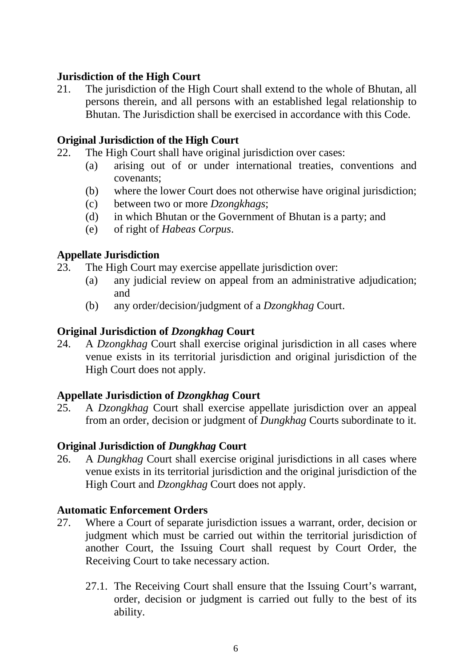## **Jurisdiction of the High Court**

21. The jurisdiction of the High Court shall extend to the whole of Bhutan, all persons therein, and all persons with an established legal relationship to Bhutan. The Jurisdiction shall be exercised in accordance with this Code.

## **Original Jurisdiction of the High Court**

- 22. The High Court shall have original jurisdiction over cases:
	- (a) arising out of or under international treaties, conventions and covenants;
	- (b) where the lower Court does not otherwise have original jurisdiction;
	- (c) between two or more *Dzongkhags*;
	- (d) in which Bhutan or the Government of Bhutan is a party; and
	- (e) of right of *Habeas Corpus*.

## **Appellate Jurisdiction**

- 23. The High Court may exercise appellate jurisdiction over:
	- (a) any judicial review on appeal from an administrative adjudication; and
	- (b) any order/decision/judgment of a *Dzongkhag* Court.

## **Original Jurisdiction of** *Dzongkhag* **Court**

24. A *Dzongkhag* Court shall exercise original jurisdiction in all cases where venue exists in its territorial jurisdiction and original jurisdiction of the High Court does not apply.

## **Appellate Jurisdiction of** *Dzongkhag* **Court**

25. A *Dzongkhag* Court shall exercise appellate jurisdiction over an appeal from an order, decision or judgment of *Dungkhag* Courts subordinate to it.

## **Original Jurisdiction of** *Dungkhag* **Court**

26. A *Dungkhag* Court shall exercise original jurisdictions in all cases where venue exists in its territorial jurisdiction and the original jurisdiction of the High Court and *Dzongkhag* Court does not apply.

## **Automatic Enforcement Orders**

- 27. Where a Court of separate jurisdiction issues a warrant, order, decision or judgment which must be carried out within the territorial jurisdiction of another Court, the Issuing Court shall request by Court Order, the Receiving Court to take necessary action.
	- 27.1. The Receiving Court shall ensure that the Issuing Court's warrant, order, decision or judgment is carried out fully to the best of its ability.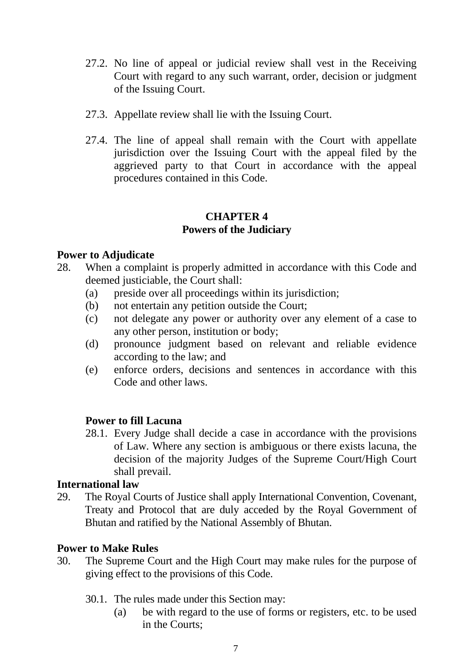- 27.2. No line of appeal or judicial review shall vest in the Receiving Court with regard to any such warrant, order, decision or judgment of the Issuing Court.
- 27.3. Appellate review shall lie with the Issuing Court.
- 27.4. The line of appeal shall remain with the Court with appellate jurisdiction over the Issuing Court with the appeal filed by the aggrieved party to that Court in accordance with the appeal procedures contained in this Code.

## **CHAPTER 4 Powers of the Judiciary**

## **Power to Adjudicate**

- 28. When a complaint is properly admitted in accordance with this Code and deemed justiciable, the Court shall:
	- (a) preside over all proceedings within its jurisdiction;
	- (b) not entertain any petition outside the Court;
	- (c) not delegate any power or authority over any element of a case to any other person, institution or body;
	- (d) pronounce judgment based on relevant and reliable evidence according to the law; and
	- (e) enforce orders, decisions and sentences in accordance with this Code and other laws.

## **Power to fill Lacuna**

28.1. Every Judge shall decide a case in accordance with the provisions of Law. Where any section is ambiguous or there exists lacuna, the decision of the majority Judges of the Supreme Court/High Court shall prevail.

#### **International law**

29. The Royal Courts of Justice shall apply International Convention, Covenant, Treaty and Protocol that are duly acceded by the Royal Government of Bhutan and ratified by the National Assembly of Bhutan.

#### **Power to Make Rules**

- 30. The Supreme Court and the High Court may make rules for the purpose of giving effect to the provisions of this Code.
	- 30.1. The rules made under this Section may:
		- (a) be with regard to the use of forms or registers, etc. to be used in the Courts;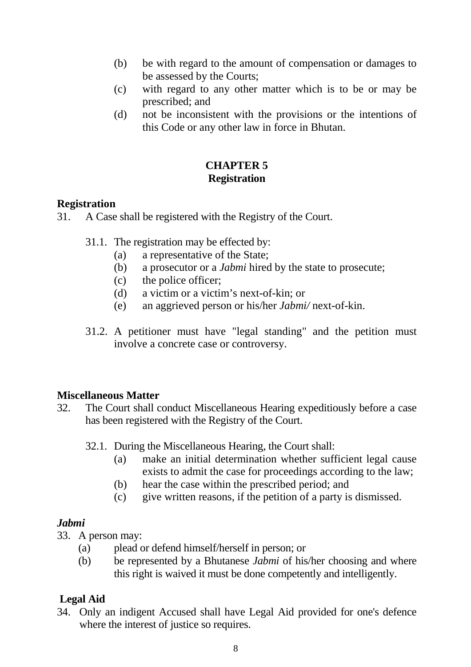- (b) be with regard to the amount of compensation or damages to be assessed by the Courts;
- (c) with regard to any other matter which is to be or may be prescribed; and
- (d) not be inconsistent with the provisions or the intentions of this Code or any other law in force in Bhutan.

## **CHAPTER 5 Registration**

## **Registration**

31. A Case shall be registered with the Registry of the Court.

- 31.1. The registration may be effected by:
	- (a) a representative of the State;
	- (b) a prosecutor or a *Jabmi* hired by the state to prosecute;
	- (c) the police officer;
	- (d) a victim or a victim's next-of-kin; or
	- (e) an aggrieved person or his/her *Jabmi/* next-of-kin.
- 31.2. A petitioner must have "legal standing" and the petition must involve a concrete case or controversy.

## **Miscellaneous Matter**

- 32. The Court shall conduct Miscellaneous Hearing expeditiously before a case has been registered with the Registry of the Court.
	- 32.1. During the Miscellaneous Hearing, the Court shall:
		- (a) make an initial determination whether sufficient legal cause exists to admit the case for proceedings according to the law;
		- (b) hear the case within the prescribed period; and
		- (c) give written reasons, if the petition of a party is dismissed.

## *Jabmi*

33. A person may:

- (a) plead or defend himself/herself in person; or
- (b) be represented by a Bhutanese *Jabmi* of his/her choosing and where this right is waived it must be done competently and intelligently.

## **Legal Aid**

34. Only an indigent Accused shall have Legal Aid provided for one's defence where the interest of justice so requires.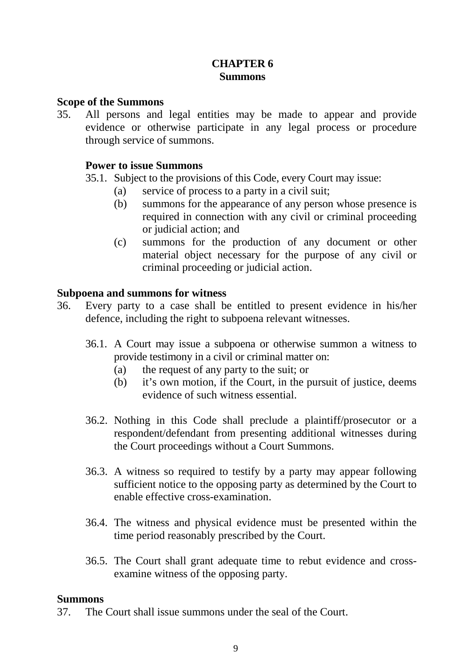## **CHAPTER 6 Summons**

#### **Scope of the Summons**

35. All persons and legal entities may be made to appear and provide evidence or otherwise participate in any legal process or procedure through service of summons.

#### **Power to issue Summons**

35.1. Subject to the provisions of this Code, every Court may issue:

- (a) service of process to a party in a civil suit;
- (b) summons for the appearance of any person whose presence is required in connection with any civil or criminal proceeding or judicial action; and
- (c) summons for the production of any document or other material object necessary for the purpose of any civil or criminal proceeding or judicial action.

### **Subpoena and summons for witness**

- 36. Every party to a case shall be entitled to present evidence in his/her defence, including the right to subpoena relevant witnesses.
	- 36.1. A Court may issue a subpoena or otherwise summon a witness to provide testimony in a civil or criminal matter on:
		- (a) the request of any party to the suit; or
		- (b) it's own motion, if the Court, in the pursuit of justice, deems evidence of such witness essential.
	- 36.2. Nothing in this Code shall preclude a plaintiff/prosecutor or a respondent/defendant from presenting additional witnesses during the Court proceedings without a Court Summons.
	- 36.3. A witness so required to testify by a party may appear following sufficient notice to the opposing party as determined by the Court to enable effective cross-examination.
	- 36.4. The witness and physical evidence must be presented within the time period reasonably prescribed by the Court.
	- 36.5. The Court shall grant adequate time to rebut evidence and crossexamine witness of the opposing party.

#### **Summons**

37. The Court shall issue summons under the seal of the Court.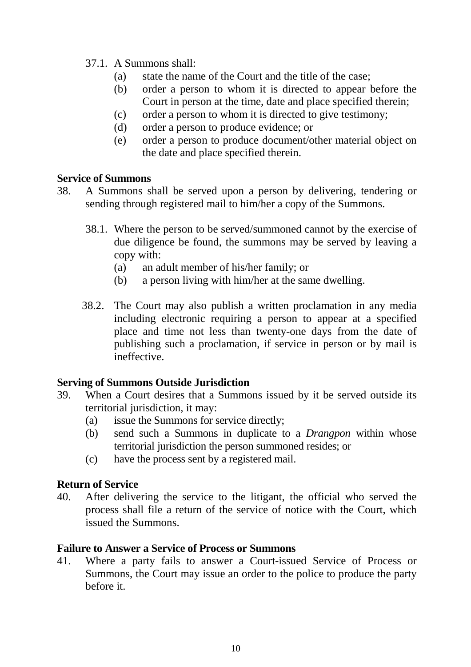- 37.1. A Summons shall:
	- (a) state the name of the Court and the title of the case;
	- (b) order a person to whom it is directed to appear before the Court in person at the time, date and place specified therein;
	- (c) order a person to whom it is directed to give testimony;
	- (d) order a person to produce evidence; or
	- (e) order a person to produce document/other material object on the date and place specified therein.

### **Service of Summons**

- 38. A Summons shall be served upon a person by delivering, tendering or sending through registered mail to him/her a copy of the Summons.
	- 38.1. Where the person to be served/summoned cannot by the exercise of due diligence be found, the summons may be served by leaving a copy with:
		- (a) an adult member of his/her family; or
		- (b) a person living with him/her at the same dwelling.
	- 38.2. The Court may also publish a written proclamation in any media including electronic requiring a person to appear at a specified place and time not less than twenty-one days from the date of publishing such a proclamation, if service in person or by mail is ineffective.

## **Serving of Summons Outside Jurisdiction**

- 39. When a Court desires that a Summons issued by it be served outside its territorial jurisdiction, it may:
	- (a) issue the Summons for service directly;
	- (b) send such a Summons in duplicate to a *Drangpon* within whose territorial jurisdiction the person summoned resides; or
	- (c) have the process sent by a registered mail.

## **Return of Service**

40. After delivering the service to the litigant, the official who served the process shall file a return of the service of notice with the Court, which issued the Summons.

#### **Failure to Answer a Service of Process or Summons**

41. Where a party fails to answer a Court-issued Service of Process or Summons, the Court may issue an order to the police to produce the party before it.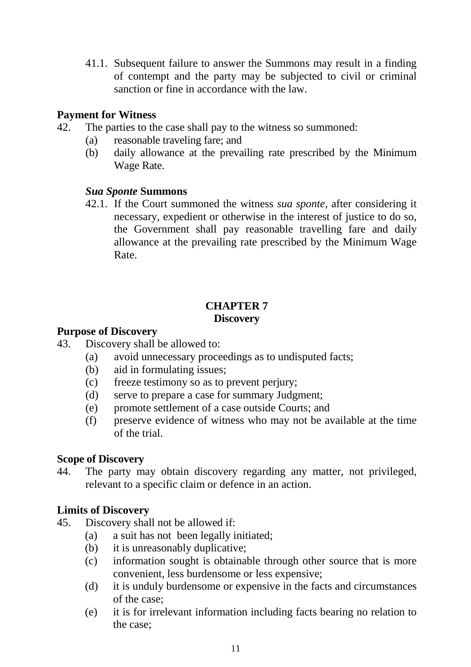41.1. Subsequent failure to answer the Summons may result in a finding of contempt and the party may be subjected to civil or criminal sanction or fine in accordance with the law.

## **Payment for Witness**

- 42. The parties to the case shall pay to the witness so summoned:
	- (a) reasonable traveling fare; and
	- (b) daily allowance at the prevailing rate prescribed by the Minimum Wage Rate.

## *Sua Sponte* **Summons**

42.1. If the Court summoned the witness *sua sponte*, after considering it necessary, expedient or otherwise in the interest of justice to do so, the Government shall pay reasonable travelling fare and daily allowance at the prevailing rate prescribed by the Minimum Wage Rate.

## **CHAPTER 7 Discovery**

### **Purpose of Discovery**

- 43. Discovery shall be allowed to:
	- (a) avoid unnecessary proceedings as to undisputed facts;
	- (b) aid in formulating issues;
	- (c) freeze testimony so as to prevent perjury;
	- (d) serve to prepare a case for summary Judgment;
	- (e) promote settlement of a case outside Courts; and
	- (f) preserve evidence of witness who may not be available at the time of the trial.

## **Scope of Discovery**

44. The party may obtain discovery regarding any matter, not privileged, relevant to a specific claim or defence in an action.

## **Limits of Discovery**

- 45. Discovery shall not be allowed if:
	- (a) a suit has not been legally initiated;
	- (b) it is unreasonably duplicative;
	- (c) information sought is obtainable through other source that is more convenient, less burdensome or less expensive;
	- (d) it is unduly burdensome or expensive in the facts and circumstances of the case;
	- (e) it is for irrelevant information including facts bearing no relation to the case;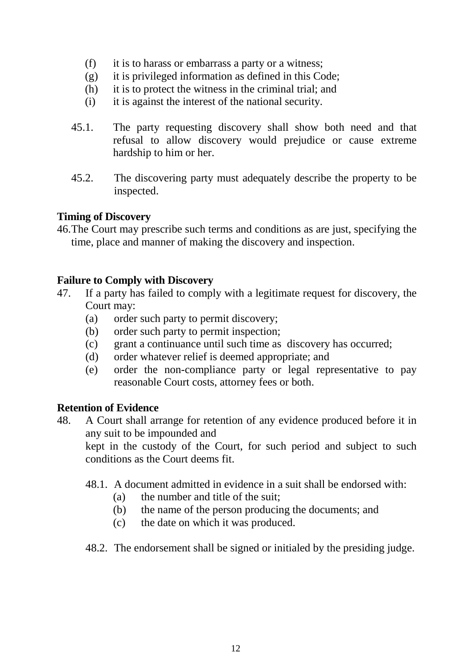- (f) it is to harass or embarrass a party or a witness;
- (g) it is privileged information as defined in this Code;
- (h) it is to protect the witness in the criminal trial; and
- (i) it is against the interest of the national security.
- 45.1. The party requesting discovery shall show both need and that refusal to allow discovery would prejudice or cause extreme hardship to him or her.
- 45.2. The discovering party must adequately describe the property to be inspected.

## **Timing of Discovery**

46.The Court may prescribe such terms and conditions as are just, specifying the time, place and manner of making the discovery and inspection.

### **Failure to Comply with Discovery**

- 47. If a party has failed to comply with a legitimate request for discovery, the Court may:
	- (a) order such party to permit discovery;
	- (b) order such party to permit inspection;
	- (c) grant a continuance until such time as discovery has occurred;
	- (d) order whatever relief is deemed appropriate; and
	- (e) order the non-compliance party or legal representative to pay reasonable Court costs, attorney fees or both.

#### **Retention of Evidence**

48. A Court shall arrange for retention of any evidence produced before it in any suit to be impounded and

kept in the custody of the Court, for such period and subject to such conditions as the Court deems fit.

- 48.1. A document admitted in evidence in a suit shall be endorsed with:
	- (a) the number and title of the suit;
	- (b) the name of the person producing the documents; and
	- (c) the date on which it was produced.
- 48.2. The endorsement shall be signed or initialed by the presiding judge.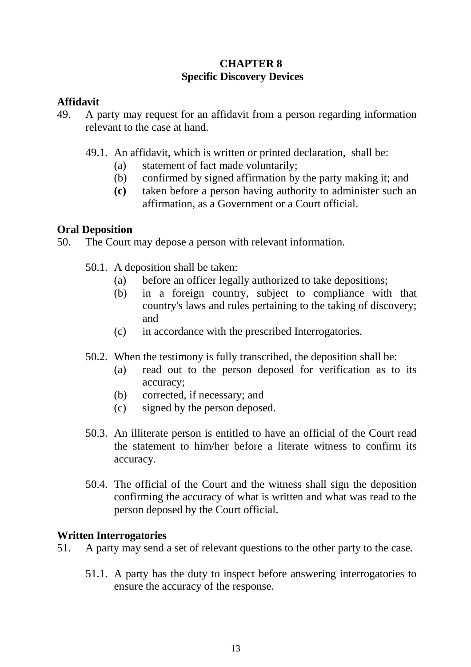## **CHAPTER 8 Specific Discovery Devices**

## **Affidavit**

- 49. A party may request for an affidavit from a person regarding information relevant to the case at hand.
	- 49.1. An affidavit, which is written or printed declaration, shall be:
		- (a) statement of fact made voluntarily;
		- (b) confirmed by signed affirmation by the party making it; and
		- **(c)** taken before a person having authority to administer such an affirmation, as a Government or a Court official.

## **Oral Deposition**

50. The Court may depose a person with relevant information.

- 50.1. A deposition shall be taken:
	- (a) before an officer legally authorized to take depositions;
	- (b) in a foreign country, subject to compliance with that country's laws and rules pertaining to the taking of discovery; and
	- (c) in accordance with the prescribed Interrogatories.
- 50.2. When the testimony is fully transcribed, the deposition shall be:
	- (a) read out to the person deposed for verification as to its accuracy;
	- (b) corrected, if necessary; and
	- (c) signed by the person deposed.
- 50.3. An illiterate person is entitled to have an official of the Court read the statement to him/her before a literate witness to confirm its accuracy.
- 50.4. The official of the Court and the witness shall sign the deposition confirming the accuracy of what is written and what was read to the person deposed by the Court official.

## **Written Interrogatories**

- 51. A party may send a set of relevant questions to the other party to the case.
	- 51.1. A party has the duty to inspect before answering interrogatories to ensure the accuracy of the response.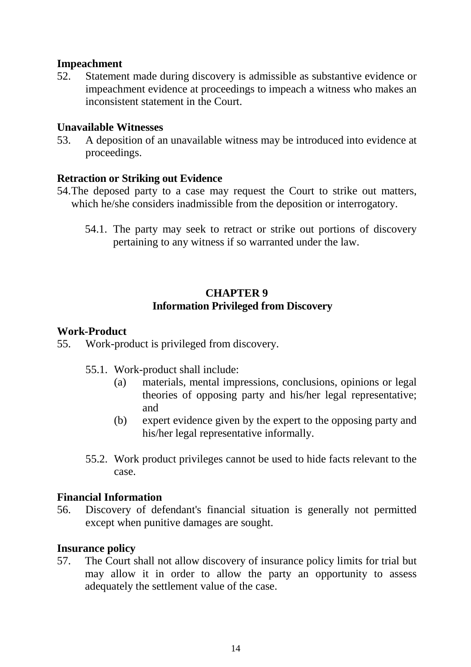## **Impeachment**

52. Statement made during discovery is admissible as substantive evidence or impeachment evidence at proceedings to impeach a witness who makes an inconsistent statement in the Court.

#### **Unavailable Witnesses**

53. A deposition of an unavailable witness may be introduced into evidence at proceedings.

### **Retraction or Striking out Evidence**

- 54.The deposed party to a case may request the Court to strike out matters, which he/she considers inadmissible from the deposition or interrogatory.
	- 54.1. The party may seek to retract or strike out portions of discovery pertaining to any witness if so warranted under the law.

## **CHAPTER 9 Information Privileged from Discovery**

### **Work-Product**

- 55. Work-product is privileged from discovery.
	- 55.1. Work-product shall include:
		- (a) materials, mental impressions, conclusions, opinions or legal theories of opposing party and his/her legal representative; and
		- (b) expert evidence given by the expert to the opposing party and his/her legal representative informally.
	- 55.2. Work product privileges cannot be used to hide facts relevant to the case.

## **Financial Information**

56. Discovery of defendant's financial situation is generally not permitted except when punitive damages are sought.

#### **Insurance policy**

57. The Court shall not allow discovery of insurance policy limits for trial but may allow it in order to allow the party an opportunity to assess adequately the settlement value of the case.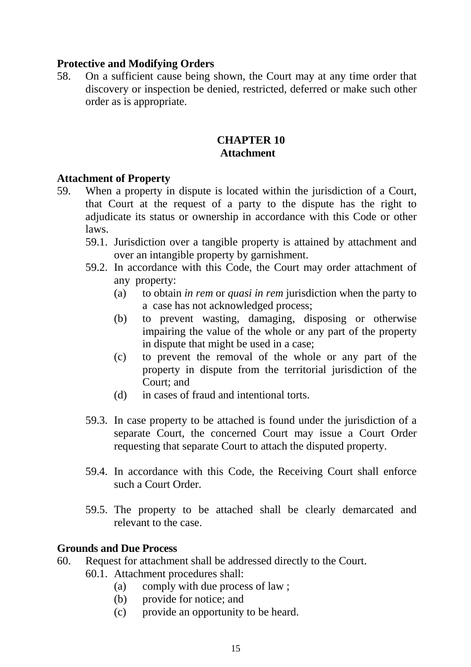## **Protective and Modifying Orders**

58. On a sufficient cause being shown, the Court may at any time order that discovery or inspection be denied, restricted, deferred or make such other order as is appropriate.

## **CHAPTER 10 Attachment**

#### **Attachment of Property**

- 59. When a property in dispute is located within the jurisdiction of a Court, that Court at the request of a party to the dispute has the right to adjudicate its status or ownership in accordance with this Code or other laws.
	- 59.1. Jurisdiction over a tangible property is attained by attachment and over an intangible property by garnishment.
	- 59.2. In accordance with this Code, the Court may order attachment of any property:
		- (a) to obtain *in rem* or *quasi in rem* jurisdiction when the party to a case has not acknowledged process;
		- (b) to prevent wasting, damaging, disposing or otherwise impairing the value of the whole or any part of the property in dispute that might be used in a case;
		- (c) to prevent the removal of the whole or any part of the property in dispute from the territorial jurisdiction of the Court; and
		- (d) in cases of fraud and intentional torts.
	- 59.3. In case property to be attached is found under the jurisdiction of a separate Court, the concerned Court may issue a Court Order requesting that separate Court to attach the disputed property.
	- 59.4. In accordance with this Code, the Receiving Court shall enforce such a Court Order.
	- 59.5. The property to be attached shall be clearly demarcated and relevant to the case.

#### **Grounds and Due Process**

- 60. Request for attachment shall be addressed directly to the Court.
	- 60.1. Attachment procedures shall:
		- (a) comply with due process of law ;
		- (b) provide for notice; and
		- (c) provide an opportunity to be heard.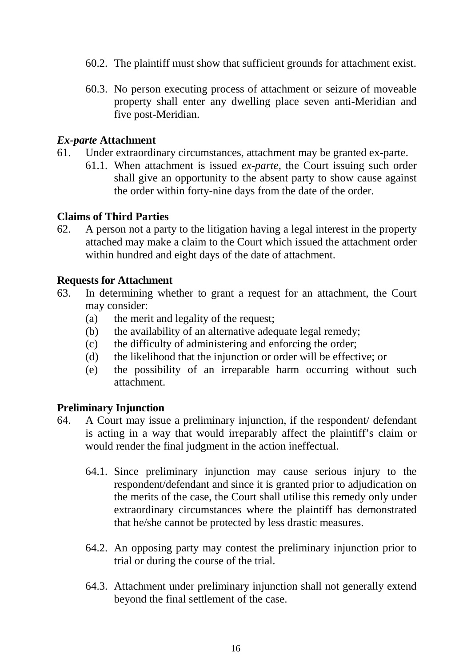- 60.2. The plaintiff must show that sufficient grounds for attachment exist.
- 60.3. No person executing process of attachment or seizure of moveable property shall enter any dwelling place seven anti-Meridian and five post-Meridian.

#### *Ex-parte* **Attachment**

- 61. Under extraordinary circumstances, attachment may be granted ex-parte.
	- 61.1. When attachment is issued *ex-parte*, the Court issuing such order shall give an opportunity to the absent party to show cause against the order within forty-nine days from the date of the order.

### **Claims of Third Parties**

62. A person not a party to the litigation having a legal interest in the property attached may make a claim to the Court which issued the attachment order within hundred and eight days of the date of attachment.

### **Requests for Attachment**

- 63. In determining whether to grant a request for an attachment, the Court may consider:
	- (a) the merit and legality of the request;
	- (b) the availability of an alternative adequate legal remedy;
	- (c) the difficulty of administering and enforcing the order;
	- (d) the likelihood that the injunction or order will be effective; or
	- (e) the possibility of an irreparable harm occurring without such attachment.

## **Preliminary Injunction**

- 64. A Court may issue a preliminary injunction, if the respondent/ defendant is acting in a way that would irreparably affect the plaintiff's claim or would render the final judgment in the action ineffectual.
	- 64.1. Since preliminary injunction may cause serious injury to the respondent/defendant and since it is granted prior to adjudication on the merits of the case, the Court shall utilise this remedy only under extraordinary circumstances where the plaintiff has demonstrated that he/she cannot be protected by less drastic measures.
	- 64.2. An opposing party may contest the preliminary injunction prior to trial or during the course of the trial.
	- 64.3. Attachment under preliminary injunction shall not generally extend beyond the final settlement of the case.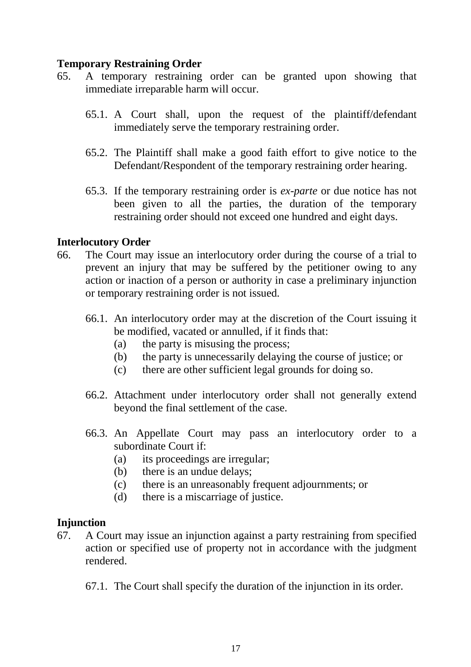## **Temporary Restraining Order**

- 65. A temporary restraining order can be granted upon showing that immediate irreparable harm will occur.
	- 65.1. A Court shall, upon the request of the plaintiff/defendant immediately serve the temporary restraining order.
	- 65.2. The Plaintiff shall make a good faith effort to give notice to the Defendant/Respondent of the temporary restraining order hearing.
	- 65.3. If the temporary restraining order is *ex-parte* or due notice has not been given to all the parties, the duration of the temporary restraining order should not exceed one hundred and eight days.

## **Interlocutory Order**

- 66. The Court may issue an interlocutory order during the course of a trial to prevent an injury that may be suffered by the petitioner owing to any action or inaction of a person or authority in case a preliminary injunction or temporary restraining order is not issued.
	- 66.1. An interlocutory order may at the discretion of the Court issuing it be modified, vacated or annulled, if it finds that:
		- (a) the party is misusing the process;
		- (b) the party is unnecessarily delaying the course of justice; or
		- (c) there are other sufficient legal grounds for doing so.
	- 66.2. Attachment under interlocutory order shall not generally extend beyond the final settlement of the case.
	- 66.3. An Appellate Court may pass an interlocutory order to a subordinate Court if:
		- (a) its proceedings are irregular;
		- (b) there is an undue delays;
		- (c) there is an unreasonably frequent adjournments; or
		- (d) there is a miscarriage of justice.

## **Injunction**

- 67. A Court may issue an injunction against a party restraining from specified action or specified use of property not in accordance with the judgment rendered.
	- 67.1. The Court shall specify the duration of the injunction in its order.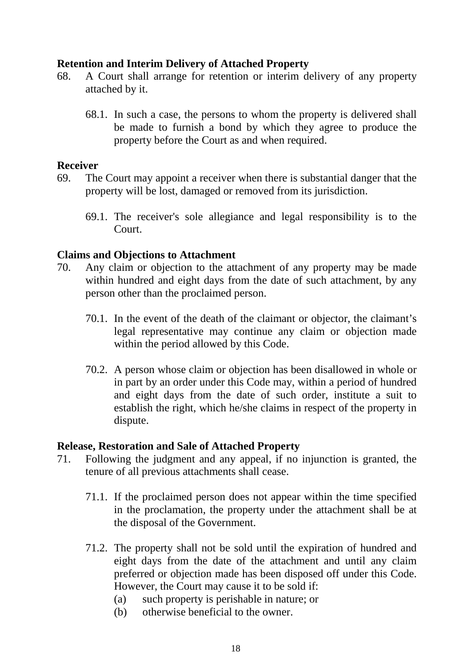## **Retention and Interim Delivery of Attached Property**

- 68. A Court shall arrange for retention or interim delivery of any property attached by it.
	- 68.1. In such a case, the persons to whom the property is delivered shall be made to furnish a bond by which they agree to produce the property before the Court as and when required.

#### **Receiver**

- 69. The Court may appoint a receiver when there is substantial danger that the property will be lost, damaged or removed from its jurisdiction.
	- 69.1. The receiver's sole allegiance and legal responsibility is to the Court.

#### **Claims and Objections to Attachment**

- 70. Any claim or objection to the attachment of any property may be made within hundred and eight days from the date of such attachment, by any person other than the proclaimed person.
	- 70.1. In the event of the death of the claimant or objector, the claimant's legal representative may continue any claim or objection made within the period allowed by this Code.
	- 70.2. A person whose claim or objection has been disallowed in whole or in part by an order under this Code may, within a period of hundred and eight days from the date of such order, institute a suit to establish the right, which he/she claims in respect of the property in dispute.

#### **Release, Restoration and Sale of Attached Property**

- 71. Following the judgment and any appeal, if no injunction is granted, the tenure of all previous attachments shall cease.
	- 71.1. If the proclaimed person does not appear within the time specified in the proclamation, the property under the attachment shall be at the disposal of the Government.
	- 71.2. The property shall not be sold until the expiration of hundred and eight days from the date of the attachment and until any claim preferred or objection made has been disposed off under this Code. However, the Court may cause it to be sold if:
		- (a) such property is perishable in nature; or
		- (b) otherwise beneficial to the owner.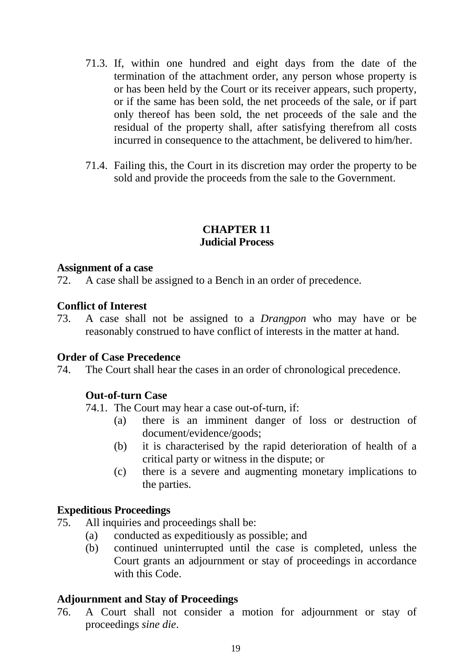- 71.3. If, within one hundred and eight days from the date of the termination of the attachment order, any person whose property is or has been held by the Court or its receiver appears, such property, or if the same has been sold, the net proceeds of the sale, or if part only thereof has been sold, the net proceeds of the sale and the residual of the property shall, after satisfying therefrom all costs incurred in consequence to the attachment, be delivered to him/her.
- 71.4. Failing this, the Court in its discretion may order the property to be sold and provide the proceeds from the sale to the Government.

## **CHAPTER 11 Judicial Process**

#### **Assignment of a case**

72. A case shall be assigned to a Bench in an order of precedence.

#### **Conflict of Interest**

73. A case shall not be assigned to a *Drangpon* who may have or be reasonably construed to have conflict of interests in the matter at hand.

#### **Order of Case Precedence**

74. The Court shall hear the cases in an order of chronological precedence.

## **Out-of-turn Case**

74.1. The Court may hear a case out-of-turn, if:

- (a) there is an imminent danger of loss or destruction of document/evidence/goods;
- (b) it is characterised by the rapid deterioration of health of a critical party or witness in the dispute; or
- (c) there is a severe and augmenting monetary implications to the parties.

## **Expeditious Proceedings**

- 75. All inquiries and proceedings shall be:
	- (a) conducted as expeditiously as possible; and
	- (b) continued uninterrupted until the case is completed, unless the Court grants an adjournment or stay of proceedings in accordance with this Code.

#### **Adjournment and Stay of Proceedings**

76. A Court shall not consider a motion for adjournment or stay of proceedings *sine die*.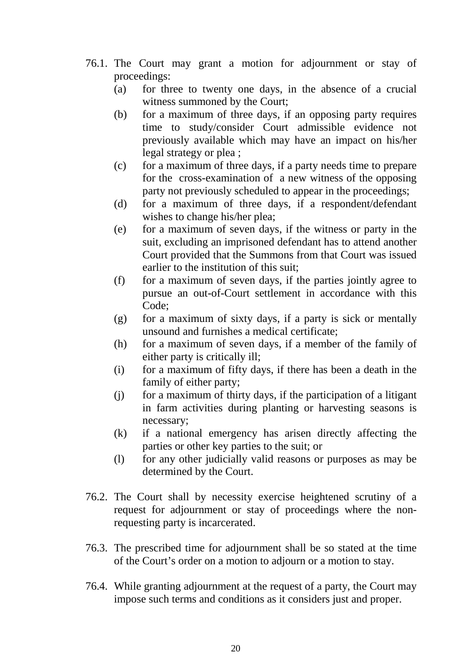- 76.1. The Court may grant a motion for adjournment or stay of proceedings:
	- (a) for three to twenty one days, in the absence of a crucial witness summoned by the Court;
	- (b) for a maximum of three days, if an opposing party requires time to study/consider Court admissible evidence not previously available which may have an impact on his/her legal strategy or plea ;
	- (c) for a maximum of three days, if a party needs time to prepare for the cross-examination of a new witness of the opposing party not previously scheduled to appear in the proceedings;
	- (d) for a maximum of three days, if a respondent/defendant wishes to change his/her plea;
	- (e) for a maximum of seven days, if the witness or party in the suit, excluding an imprisoned defendant has to attend another Court provided that the Summons from that Court was issued earlier to the institution of this suit;
	- (f) for a maximum of seven days, if the parties jointly agree to pursue an out-of-Court settlement in accordance with this Code;
	- (g) for a maximum of sixty days, if a party is sick or mentally unsound and furnishes a medical certificate;
	- (h) for a maximum of seven days, if a member of the family of either party is critically ill;
	- (i) for a maximum of fifty days, if there has been a death in the family of either party;
	- (j) for a maximum of thirty days, if the participation of a litigant in farm activities during planting or harvesting seasons is necessary;
	- (k) if a national emergency has arisen directly affecting the parties or other key parties to the suit; or
	- (l) for any other judicially valid reasons or purposes as may be determined by the Court.
- 76.2. The Court shall by necessity exercise heightened scrutiny of a request for adjournment or stay of proceedings where the nonrequesting party is incarcerated.
- 76.3. The prescribed time for adjournment shall be so stated at the time of the Court's order on a motion to adjourn or a motion to stay.
- 76.4. While granting adjournment at the request of a party, the Court may impose such terms and conditions as it considers just and proper.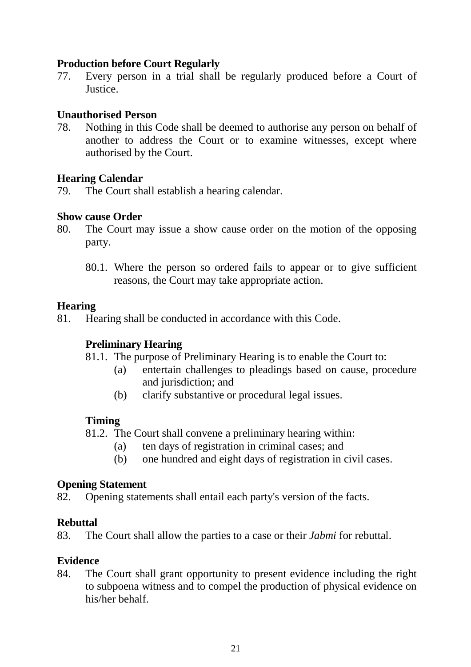## **Production before Court Regularly**

77. Every person in a trial shall be regularly produced before a Court of Justice.

### **Unauthorised Person**

78. Nothing in this Code shall be deemed to authorise any person on behalf of another to address the Court or to examine witnesses, except where authorised by the Court.

### **Hearing Calendar**

79. The Court shall establish a hearing calendar.

### **Show cause Order**

- 80. The Court may issue a show cause order on the motion of the opposing party.
	- 80.1. Where the person so ordered fails to appear or to give sufficient reasons, the Court may take appropriate action.

### **Hearing**

81. Hearing shall be conducted in accordance with this Code.

## **Preliminary Hearing**

- 81.1. The purpose of Preliminary Hearing is to enable the Court to:
	- (a) entertain challenges to pleadings based on cause, procedure and jurisdiction; and
	- (b) clarify substantive or procedural legal issues.

## **Timing**

- 81.2. The Court shall convene a preliminary hearing within:
	- (a) ten days of registration in criminal cases; and
	- (b) one hundred and eight days of registration in civil cases.

#### **Opening Statement**

82. Opening statements shall entail each party's version of the facts.

## **Rebuttal**

83. The Court shall allow the parties to a case or their *Jabmi* for rebuttal.

#### **Evidence**

84. The Court shall grant opportunity to present evidence including the right to subpoena witness and to compel the production of physical evidence on his/her behalf.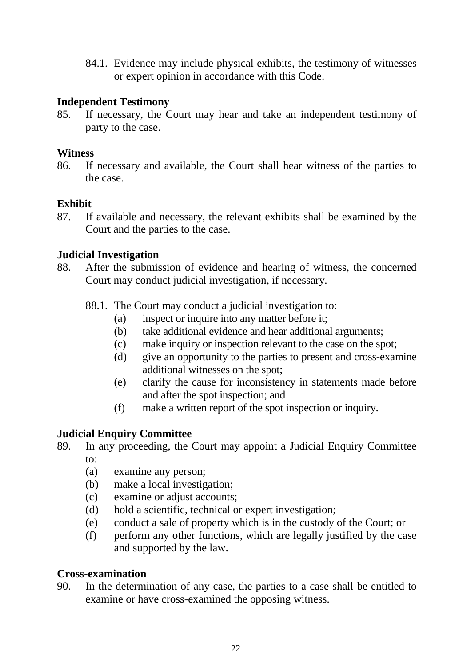84.1. Evidence may include physical exhibits, the testimony of witnesses or expert opinion in accordance with this Code.

## **Independent Testimony**

85. If necessary, the Court may hear and take an independent testimony of party to the case.

### **Witness**

86. If necessary and available, the Court shall hear witness of the parties to the case.

### **Exhibit**

87. If available and necessary, the relevant exhibits shall be examined by the Court and the parties to the case.

### **Judicial Investigation**

- 88. After the submission of evidence and hearing of witness, the concerned Court may conduct judicial investigation, if necessary.
	- 88.1. The Court may conduct a judicial investigation to:
		- (a) inspect or inquire into any matter before it;
		- (b) take additional evidence and hear additional arguments;
		- (c) make inquiry or inspection relevant to the case on the spot;
		- (d) give an opportunity to the parties to present and cross-examine additional witnesses on the spot;
		- (e) clarify the cause for inconsistency in statements made before and after the spot inspection; and
		- (f) make a written report of the spot inspection or inquiry.

## **Judicial Enquiry Committee**

- 89. In any proceeding, the Court may appoint a Judicial Enquiry Committee to:
	- (a) examine any person;
	- (b) make a local investigation;
	- (c) examine or adjust accounts;
	- (d) hold a scientific, technical or expert investigation;
	- (e) conduct a sale of property which is in the custody of the Court; or
	- (f) perform any other functions, which are legally justified by the case and supported by the law.

#### **Cross-examination**

90. In the determination of any case, the parties to a case shall be entitled to examine or have cross-examined the opposing witness.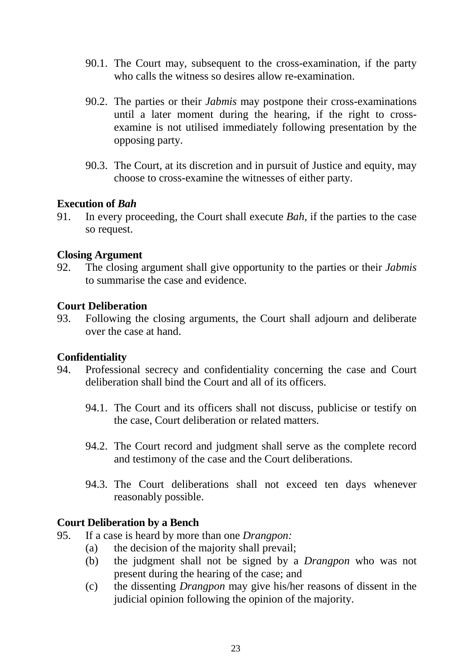- 90.1. The Court may, subsequent to the cross-examination, if the party who calls the witness so desires allow re-examination.
- 90.2. The parties or their *Jabmis* may postpone their cross-examinations until a later moment during the hearing, if the right to crossexamine is not utilised immediately following presentation by the opposing party.
- 90.3. The Court, at its discretion and in pursuit of Justice and equity, may choose to cross-examine the witnesses of either party.

#### **Execution of** *Bah*

91. In every proceeding, the Court shall execute *Bah,* if the parties to the case so request.

### **Closing Argument**

92. The closing argument shall give opportunity to the parties or their *Jabmis* to summarise the case and evidence.

#### **Court Deliberation**

93. Following the closing arguments, the Court shall adjourn and deliberate over the case at hand.

#### **Confidentiality**

- 94. Professional secrecy and confidentiality concerning the case and Court deliberation shall bind the Court and all of its officers.
	- 94.1. The Court and its officers shall not discuss, publicise or testify on the case, Court deliberation or related matters.
	- 94.2. The Court record and judgment shall serve as the complete record and testimony of the case and the Court deliberations.
	- 94.3. The Court deliberations shall not exceed ten days whenever reasonably possible.

#### **Court Deliberation by a Bench**

- 95. If a case is heard by more than one *Drangpon:*
	- (a) the decision of the majority shall prevail;
	- (b) the judgment shall not be signed by a *Drangpon* who was not present during the hearing of the case; and
	- (c) the dissenting *Drangpon* may give his/her reasons of dissent in the judicial opinion following the opinion of the majority.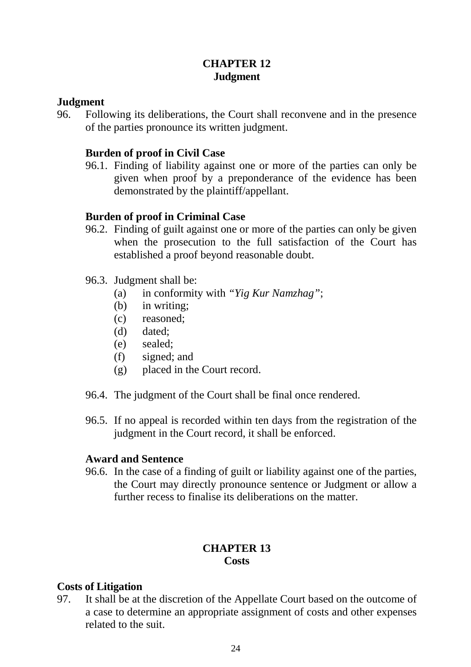## **CHAPTER 12 Judgment**

## **Judgment**

96. Following its deliberations, the Court shall reconvene and in the presence of the parties pronounce its written judgment.

## **Burden of proof in Civil Case**

96.1. Finding of liability against one or more of the parties can only be given when proof by a preponderance of the evidence has been demonstrated by the plaintiff/appellant.

### **Burden of proof in Criminal Case**

96.2. Finding of guilt against one or more of the parties can only be given when the prosecution to the full satisfaction of the Court has established a proof beyond reasonable doubt.

#### 96.3. Judgment shall be:

- (a) in conformity with *"Yig Kur Namzhag"*;
- (b) in writing;
- (c) reasoned;
- (d) dated;
- (e) sealed;
- (f) signed; and
- (g) placed in the Court record.
- 96.4. The judgment of the Court shall be final once rendered.
- 96.5. If no appeal is recorded within ten days from the registration of the judgment in the Court record, it shall be enforced.

#### **Award and Sentence**

96.6. In the case of a finding of guilt or liability against one of the parties, the Court may directly pronounce sentence or Judgment or allow a further recess to finalise its deliberations on the matter.

## **CHAPTER 13 Costs**

#### **Costs of Litigation**

97. It shall be at the discretion of the Appellate Court based on the outcome of a case to determine an appropriate assignment of costs and other expenses related to the suit.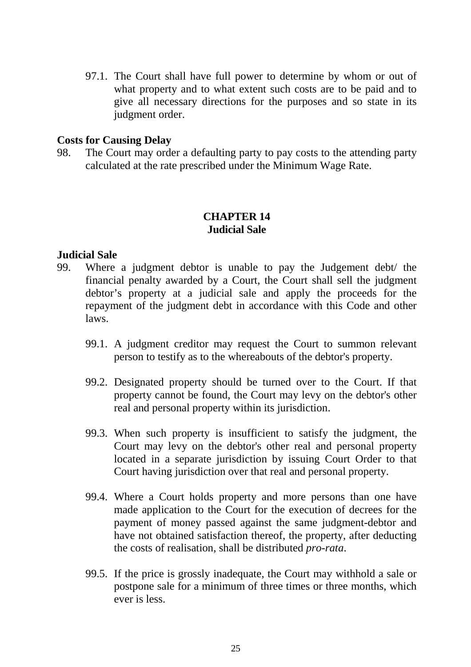97.1. The Court shall have full power to determine by whom or out of what property and to what extent such costs are to be paid and to give all necessary directions for the purposes and so state in its judgment order.

#### **Costs for Causing Delay**

98. The Court may order a defaulting party to pay costs to the attending party calculated at the rate prescribed under the Minimum Wage Rate.

#### **CHAPTER 14 Judicial Sale**

#### **Judicial Sale**

- 99. Where a judgment debtor is unable to pay the Judgement debt/ the financial penalty awarded by a Court, the Court shall sell the judgment debtor's property at a judicial sale and apply the proceeds for the repayment of the judgment debt in accordance with this Code and other laws.
	- 99.1. A judgment creditor may request the Court to summon relevant person to testify as to the whereabouts of the debtor's property.
	- 99.2. Designated property should be turned over to the Court. If that property cannot be found, the Court may levy on the debtor's other real and personal property within its jurisdiction.
	- 99.3. When such property is insufficient to satisfy the judgment, the Court may levy on the debtor's other real and personal property located in a separate jurisdiction by issuing Court Order to that Court having jurisdiction over that real and personal property.
	- 99.4. Where a Court holds property and more persons than one have made application to the Court for the execution of decrees for the payment of money passed against the same judgment-debtor and have not obtained satisfaction thereof, the property, after deducting the costs of realisation, shall be distributed *pro-rata*.
	- 99.5. If the price is grossly inadequate, the Court may withhold a sale or postpone sale for a minimum of three times or three months, which ever is less.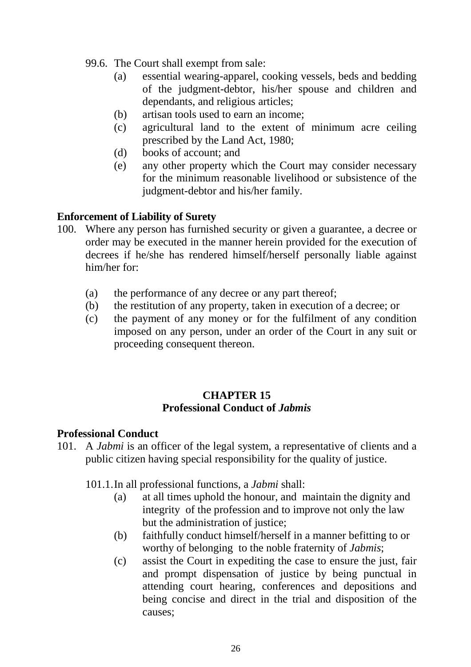- 99.6. The Court shall exempt from sale:
	- (a) essential wearing-apparel, cooking vessels, beds and bedding of the judgment-debtor, his/her spouse and children and dependants, and religious articles;
	- (b) artisan tools used to earn an income;
	- (c) agricultural land to the extent of minimum acre ceiling prescribed by the Land Act, 1980;
	- (d) books of account; and
	- (e) any other property which the Court may consider necessary for the minimum reasonable livelihood or subsistence of the judgment-debtor and his/her family.

#### **Enforcement of Liability of Surety**

- 100. Where any person has furnished security or given a guarantee, a decree or order may be executed in the manner herein provided for the execution of decrees if he/she has rendered himself/herself personally liable against him/her for:
	- (a) the performance of any decree or any part thereof;
	- (b) the restitution of any property, taken in execution of a decree; or
	- (c) the payment of any money or for the fulfilment of any condition imposed on any person, under an order of the Court in any suit or proceeding consequent thereon.

## **CHAPTER 15 Professional Conduct of** *Jabmis*

#### **Professional Conduct**

- 101. A *Jabmi* is an officer of the legal system, a representative of clients and a public citizen having special responsibility for the quality of justice.
	- 101.1.In all professional functions, a *Jabmi* shall:
		- (a) at all times uphold the honour, and maintain the dignity and integrity of the profession and to improve not only the law but the administration of justice;
		- (b) faithfully conduct himself/herself in a manner befitting to or worthy of belonging to the noble fraternity of *Jabmis*;
		- (c) assist the Court in expediting the case to ensure the just, fair and prompt dispensation of justice by being punctual in attending court hearing, conferences and depositions and being concise and direct in the trial and disposition of the causes;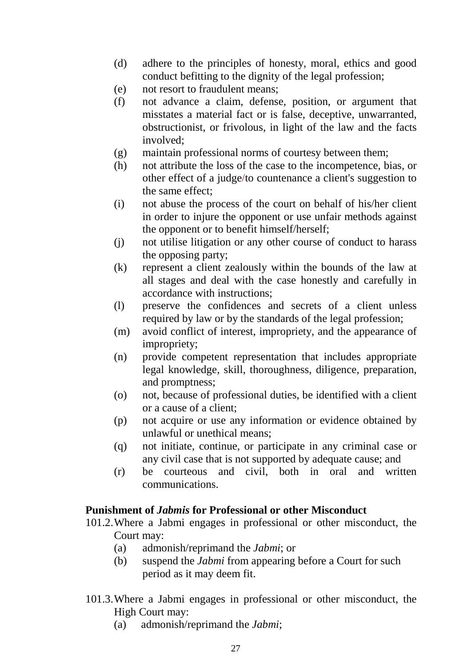- (d) adhere to the principles of honesty, moral, ethics and good conduct befitting to the dignity of the legal profession;
- (e) not resort to fraudulent means;
- (f) not advance a claim, defense, position, or argument that misstates a material fact or is false, deceptive, unwarranted, obstructionist, or frivolous, in light of the law and the facts involved;
- (g) maintain professional norms of courtesy between them;
- (h) not attribute the loss of the case to the incompetence, bias, or other effect of a judge/to countenance a client's suggestion to the same effect;
- (i) not abuse the process of the court on behalf of his/her client in order to injure the opponent or use unfair methods against the opponent or to benefit himself/herself;
- (j) not utilise litigation or any other course of conduct to harass the opposing party;
- (k) represent a client zealously within the bounds of the law at all stages and deal with the case honestly and carefully in accordance with instructions;
- (l) preserve the confidences and secrets of a client unless required by law or by the standards of the legal profession;
- (m) avoid conflict of interest, impropriety, and the appearance of impropriety;
- (n) provide competent representation that includes appropriate legal knowledge, skill, thoroughness, diligence, preparation, and promptness;
- (o) not, because of professional duties, be identified with a client or a cause of a client;
- (p) not acquire or use any information or evidence obtained by unlawful or unethical means;
- (q) not initiate, continue, or participate in any criminal case or any civil case that is not supported by adequate cause; and
- (r) be courteous and civil, both in oral and written communications.

#### **Punishment of** *Jabmis* **for Professional or other Misconduct**

- 101.2.Where a Jabmi engages in professional or other misconduct, the Court may:
	- (a) admonish/reprimand the *Jabmi*; or
	- (b) suspend the *Jabmi* from appearing before a Court for such period as it may deem fit.
- 101.3.Where a Jabmi engages in professional or other misconduct, the High Court may:
	- (a) admonish/reprimand the *Jabmi*;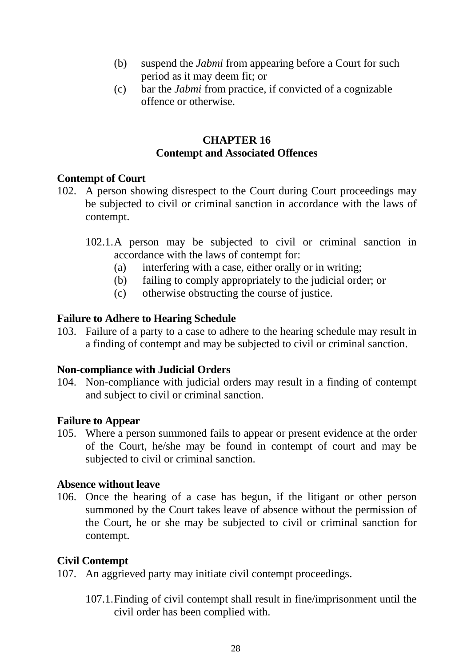- (b) suspend the *Jabmi* from appearing before a Court for such period as it may deem fit; or
- (c) bar the *Jabmi* from practice, if convicted of a cognizable offence or otherwise.

## **CHAPTER 16 Contempt and Associated Offences**

## **Contempt of Court**

- 102. A person showing disrespect to the Court during Court proceedings may be subjected to civil or criminal sanction in accordance with the laws of contempt.
	- 102.1.A person may be subjected to civil or criminal sanction in accordance with the laws of contempt for:
		- (a) interfering with a case, either orally or in writing;
		- (b) failing to comply appropriately to the judicial order; or
		- (c) otherwise obstructing the course of justice.

## **Failure to Adhere to Hearing Schedule**

103. Failure of a party to a case to adhere to the hearing schedule may result in a finding of contempt and may be subjected to civil or criminal sanction.

## **Non-compliance with Judicial Orders**

104. Non-compliance with judicial orders may result in a finding of contempt and subject to civil or criminal sanction.

## **Failure to Appear**

105. Where a person summoned fails to appear or present evidence at the order of the Court, he/she may be found in contempt of court and may be subjected to civil or criminal sanction.

## **Absence without leave**

106. Once the hearing of a case has begun, if the litigant or other person summoned by the Court takes leave of absence without the permission of the Court, he or she may be subjected to civil or criminal sanction for contempt.

## **Civil Contempt**

107. An aggrieved party may initiate civil contempt proceedings.

107.1.Finding of civil contempt shall result in fine/imprisonment until the civil order has been complied with.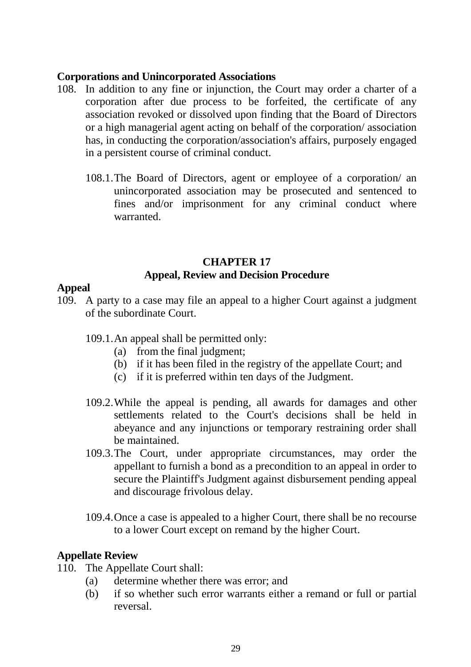### **Corporations and Unincorporated Associations**

- 108. In addition to any fine or injunction, the Court may order a charter of a corporation after due process to be forfeited, the certificate of any association revoked or dissolved upon finding that the Board of Directors or a high managerial agent acting on behalf of the corporation/ association has, in conducting the corporation/association's affairs, purposely engaged in a persistent course of criminal conduct.
	- 108.1.The Board of Directors, agent or employee of a corporation/ an unincorporated association may be prosecuted and sentenced to fines and/or imprisonment for any criminal conduct where warranted.

## **CHAPTER 17 Appeal, Review and Decision Procedure**

## **Appeal**

- 109. A party to a case may file an appeal to a higher Court against a judgment of the subordinate Court.
	- 109.1.An appeal shall be permitted only:
		- (a) from the final judgment;
		- (b) if it has been filed in the registry of the appellate Court; and
		- (c) if it is preferred within ten days of the Judgment.
	- 109.2.While the appeal is pending, all awards for damages and other settlements related to the Court's decisions shall be held in abeyance and any injunctions or temporary restraining order shall be maintained.
	- 109.3.The Court, under appropriate circumstances, may order the appellant to furnish a bond as a precondition to an appeal in order to secure the Plaintiff's Judgment against disbursement pending appeal and discourage frivolous delay.
	- 109.4.Once a case is appealed to a higher Court, there shall be no recourse to a lower Court except on remand by the higher Court.

#### **Appellate Review**

- 110. The Appellate Court shall:
	- (a) determine whether there was error; and
	- (b) if so whether such error warrants either a remand or full or partial reversal.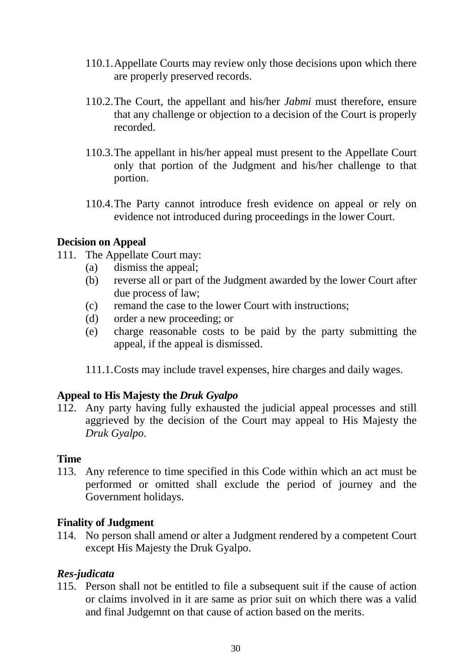- 110.1.Appellate Courts may review only those decisions upon which there are properly preserved records.
- 110.2.The Court, the appellant and his/her *Jabmi* must therefore, ensure that any challenge or objection to a decision of the Court is properly recorded.
- 110.3.The appellant in his/her appeal must present to the Appellate Court only that portion of the Judgment and his/her challenge to that portion.
- 110.4.The Party cannot introduce fresh evidence on appeal or rely on evidence not introduced during proceedings in the lower Court.

## **Decision on Appeal**

- 111. The Appellate Court may:
	- (a) dismiss the appeal;
	- (b) reverse all or part of the Judgment awarded by the lower Court after due process of law;
	- (c) remand the case to the lower Court with instructions;
	- (d) order a new proceeding; or
	- (e) charge reasonable costs to be paid by the party submitting the appeal, if the appeal is dismissed.
	- 111.1.Costs may include travel expenses, hire charges and daily wages.

## **Appeal to His Majesty the** *Druk Gyalpo*

112. Any party having fully exhausted the judicial appeal processes and still aggrieved by the decision of the Court may appeal to His Majesty the *Druk Gyalpo*.

## **Time**

113. Any reference to time specified in this Code within which an act must be performed or omitted shall exclude the period of journey and the Government holidays.

## **Finality of Judgment**

114. No person shall amend or alter a Judgment rendered by a competent Court except His Majesty the Druk Gyalpo.

## *Res-judicata*

115. Person shall not be entitled to file a subsequent suit if the cause of action or claims involved in it are same as prior suit on which there was a valid and final Judgemnt on that cause of action based on the merits.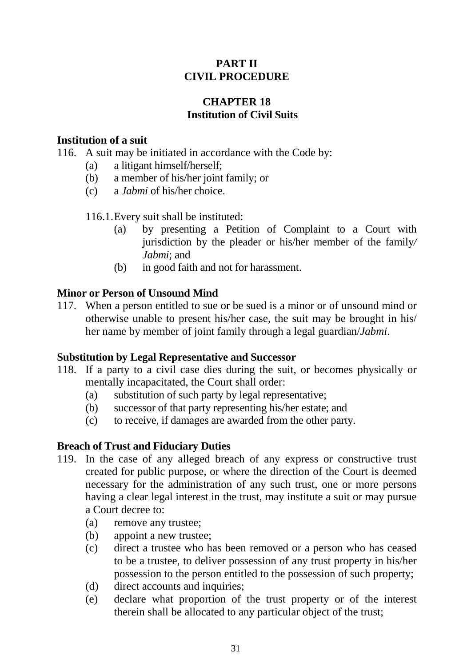## **PART II CIVIL PROCEDURE**

## **CHAPTER 18 Institution of Civil Suits**

### **Institution of a suit**

116. A suit may be initiated in accordance with the Code by:

- (a) a litigant himself/herself;
- (b) a member of his/her joint family; or
- (c) a *Jabmi* of his/her choice.

116.1.Every suit shall be instituted:

- (a) by presenting a Petition of Complaint to a Court with jurisdiction by the pleader or his/her member of the family*/ Jabmi*; and
- (b) in good faith and not for harassment.

## **Minor or Person of Unsound Mind**

117. When a person entitled to sue or be sued is a minor or of unsound mind or otherwise unable to present his/her case, the suit may be brought in his/ her name by member of joint family through a legal guardian/*Jabmi*.

#### **Substitution by Legal Representative and Successor**

- 118. If a party to a civil case dies during the suit, or becomes physically or mentally incapacitated, the Court shall order:
	- (a) substitution of such party by legal representative;
	- (b) successor of that party representing his/her estate; and
	- (c) to receive, if damages are awarded from the other party.

## **Breach of Trust and Fiduciary Duties**

- 119. In the case of any alleged breach of any express or constructive trust created for public purpose, or where the direction of the Court is deemed necessary for the administration of any such trust, one or more persons having a clear legal interest in the trust, may institute a suit or may pursue a Court decree to:
	- (a) remove any trustee;
	- (b) appoint a new trustee;
	- (c) direct a trustee who has been removed or a person who has ceased to be a trustee, to deliver possession of any trust property in his/her possession to the person entitled to the possession of such property;
	- (d) direct accounts and inquiries;
	- (e) declare what proportion of the trust property or of the interest therein shall be allocated to any particular object of the trust;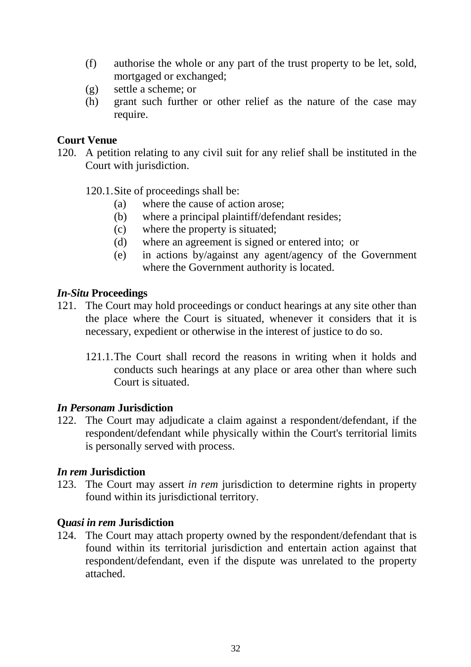- (f) authorise the whole or any part of the trust property to be let, sold, mortgaged or exchanged;
- (g) settle a scheme; or
- (h) grant such further or other relief as the nature of the case may require.

#### **Court Venue**

120. A petition relating to any civil suit for any relief shall be instituted in the Court with jurisdiction.

120.1.Site of proceedings shall be:

- (a) where the cause of action arose;
- (b) where a principal plaintiff/defendant resides;
- (c) where the property is situated;
- (d) where an agreement is signed or entered into; or
- (e) in actions by/against any agent/agency of the Government where the Government authority is located.

### *In-Situ* **Proceedings**

- 121. The Court may hold proceedings or conduct hearings at any site other than the place where the Court is situated, whenever it considers that it is necessary, expedient or otherwise in the interest of justice to do so.
	- 121.1.The Court shall record the reasons in writing when it holds and conducts such hearings at any place or area other than where such Court is situated.

## *In Personam* **Jurisdiction**

122. The Court may adjudicate a claim against a respondent/defendant, if the respondent/defendant while physically within the Court's territorial limits is personally served with process.

## *In rem* **Jurisdiction**

123. The Court may assert *in rem* jurisdiction to determine rights in property found within its jurisdictional territory.

#### **Q***uasi in rem* **Jurisdiction**

124. The Court may attach property owned by the respondent/defendant that is found within its territorial jurisdiction and entertain action against that respondent/defendant, even if the dispute was unrelated to the property attached.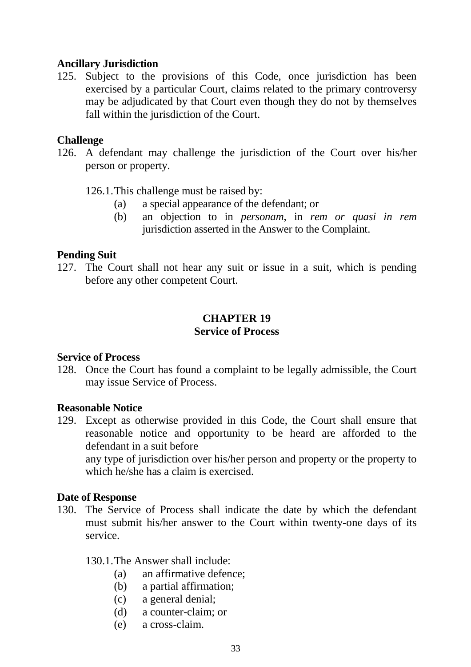#### **Ancillary Jurisdiction**

125. Subject to the provisions of this Code, once jurisdiction has been exercised by a particular Court, claims related to the primary controversy may be adjudicated by that Court even though they do not by themselves fall within the jurisdiction of the Court.

#### **Challenge**

126. A defendant may challenge the jurisdiction of the Court over his/her person or property.

126.1.This challenge must be raised by:

- (a) a special appearance of the defendant; or
- (b) an objection to in *personam*, in *rem or quasi in rem* jurisdiction asserted in the Answer to the Complaint.

## **Pending Suit**

127. The Court shall not hear any suit or issue in a suit, which is pending before any other competent Court.

## **CHAPTER 19 Service of Process**

## **Service of Process**

128. Once the Court has found a complaint to be legally admissible, the Court may issue Service of Process.

#### **Reasonable Notice**

129. Except as otherwise provided in this Code, the Court shall ensure that reasonable notice and opportunity to be heard are afforded to the defendant in a suit before

any type of jurisdiction over his/her person and property or the property to which he/she has a claim is exercised.

## **Date of Response**

130. The Service of Process shall indicate the date by which the defendant must submit his/her answer to the Court within twenty-one days of its service.

#### 130.1.The Answer shall include:

- (a) an affirmative defence;
- (b) a partial affirmation;
- (c) a general denial;
- (d) a counter-claim; or
- (e) a cross-claim.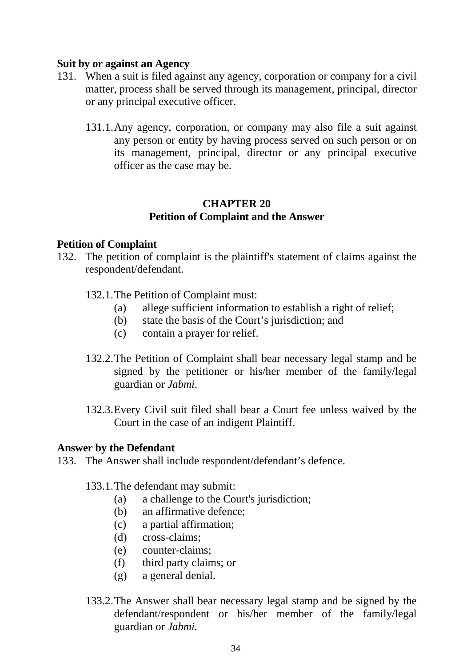#### **Suit by or against an Agency**

- 131. When a suit is filed against any agency, corporation or company for a civil matter, process shall be served through its management, principal, director or any principal executive officer.
	- 131.1.Any agency, corporation, or company may also file a suit against any person or entity by having process served on such person or on its management, principal, director or any principal executive officer as the case may be.

## **CHAPTER 20 Petition of Complaint and the Answer**

#### **Petition of Complaint**

- 132. The petition of complaint is the plaintiff's statement of claims against the respondent/defendant.
	- 132.1.The Petition of Complaint must:
		- (a) allege sufficient information to establish a right of relief;
		- (b) state the basis of the Court's jurisdiction; and
		- (c) contain a prayer for relief.
	- 132.2.The Petition of Complaint shall bear necessary legal stamp and be signed by the petitioner or his/her member of the family/legal guardian or *Jabmi*.
	- 132.3.Every Civil suit filed shall bear a Court fee unless waived by the Court in the case of an indigent Plaintiff.

#### **Answer by the Defendant**

- 133. The Answer shall include respondent/defendant's defence.
	- 133.1.The defendant may submit:
		- (a) a challenge to the Court's jurisdiction;
		- (b) an affirmative defence;
		- (c) a partial affirmation;
		- (d) cross-claims;
		- (e) counter-claims;
		- (f) third party claims; or
		- (g) a general denial.
	- 133.2.The Answer shall bear necessary legal stamp and be signed by the defendant/respondent or his/her member of the family/legal guardian or *Jabmi.*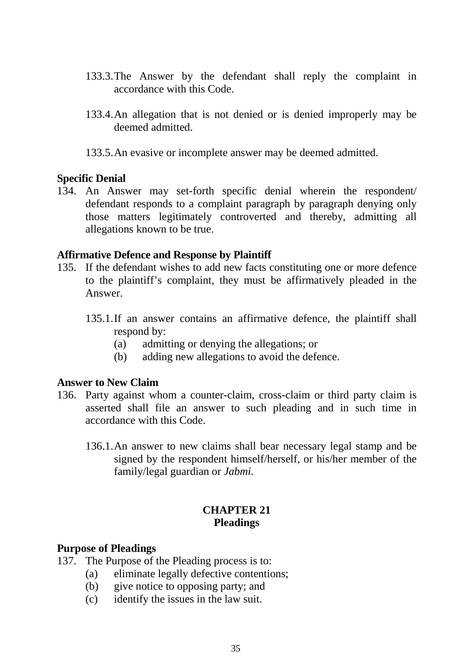- 133.3.The Answer by the defendant shall reply the complaint in accordance with this Code.
- 133.4.An allegation that is not denied or is denied improperly may be deemed admitted.
- 133.5.An evasive or incomplete answer may be deemed admitted.

#### **Specific Denial**

134. An Answer may set-forth specific denial wherein the respondent/ defendant responds to a complaint paragraph by paragraph denying only those matters legitimately controverted and thereby, admitting all allegations known to be true.

#### **Affirmative Defence and Response by Plaintiff**

- 135. If the defendant wishes to add new facts constituting one or more defence to the plaintiff's complaint, they must be affirmatively pleaded in the Answer.
	- 135.1.If an answer contains an affirmative defence, the plaintiff shall respond by:
		- (a) admitting or denying the allegations; or
		- (b) adding new allegations to avoid the defence.

#### **Answer to New Claim**

- 136. Party against whom a counter-claim, cross-claim or third party claim is asserted shall file an answer to such pleading and in such time in accordance with this Code.
	- 136.1.An answer to new claims shall bear necessary legal stamp and be signed by the respondent himself/herself, or his/her member of the family/legal guardian or *Jabmi.*

#### **CHAPTER 21 Pleadings**

#### **Purpose of Pleadings**

- 137. The Purpose of the Pleading process is to:
	- (a) eliminate legally defective contentions;
	- (b) give notice to opposing party; and
	- (c) identify the issues in the law suit.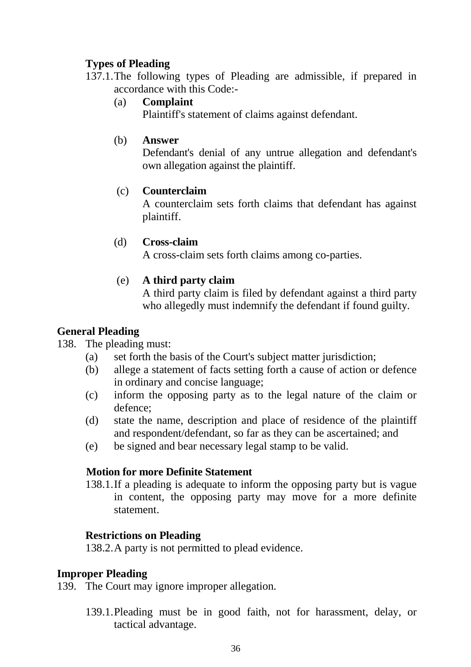## **Types of Pleading**

137.1.The following types of Pleading are admissible, if prepared in accordance with this Code:-

## (a) **Complaint**

Plaintiff's statement of claims against defendant.

## (b) **Answer**

Defendant's denial of any untrue allegation and defendant's own allegation against the plaintiff.

## (c) **Counterclaim**

A counterclaim sets forth claims that defendant has against plaintiff.

## (d) **Cross-claim**

A cross-claim sets forth claims among co-parties.

## (e) **A third party claim**

A third party claim is filed by defendant against a third party who allegedly must indemnify the defendant if found guilty.

## **General Pleading**

## 138. The pleading must:

- (a) set forth the basis of the Court's subject matter jurisdiction;
- (b) allege a statement of facts setting forth a cause of action or defence in ordinary and concise language;
- (c) inform the opposing party as to the legal nature of the claim or defence;
- (d) state the name, description and place of residence of the plaintiff and respondent/defendant, so far as they can be ascertained; and
- (e) be signed and bear necessary legal stamp to be valid.

## **Motion for more Definite Statement**

138.1.If a pleading is adequate to inform the opposing party but is vague in content, the opposing party may move for a more definite statement.

## **Restrictions on Pleading**

138.2.A party is not permitted to plead evidence.

## **Improper Pleading**

139. The Court may ignore improper allegation.

139.1.Pleading must be in good faith, not for harassment, delay, or tactical advantage.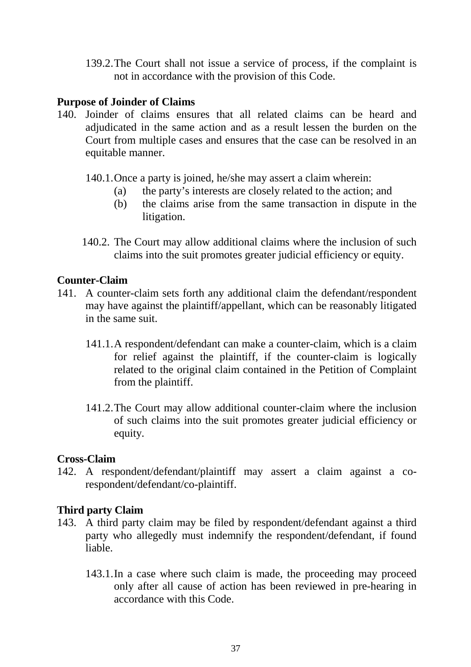139.2.The Court shall not issue a service of process, if the complaint is not in accordance with the provision of this Code.

### **Purpose of Joinder of Claims**

- 140. Joinder of claims ensures that all related claims can be heard and adjudicated in the same action and as a result lessen the burden on the Court from multiple cases and ensures that the case can be resolved in an equitable manner.
	- 140.1.Once a party is joined, he/she may assert a claim wherein:
		- (a) the party's interests are closely related to the action; and
		- (b) the claims arise from the same transaction in dispute in the litigation.
	- 140.2. The Court may allow additional claims where the inclusion of such claims into the suit promotes greater judicial efficiency or equity.

#### **Counter-Claim**

- 141. A counter-claim sets forth any additional claim the defendant/respondent may have against the plaintiff/appellant, which can be reasonably litigated in the same suit.
	- 141.1.A respondent/defendant can make a counter-claim, which is a claim for relief against the plaintiff, if the counter-claim is logically related to the original claim contained in the Petition of Complaint from the plaintiff.
	- 141.2.The Court may allow additional counter-claim where the inclusion of such claims into the suit promotes greater judicial efficiency or equity.

#### **Cross-Claim**

142. A respondent/defendant/plaintiff may assert a claim against a corespondent/defendant/co-plaintiff.

## **Third party Claim**

- 143. A third party claim may be filed by respondent/defendant against a third party who allegedly must indemnify the respondent/defendant, if found liable.
	- 143.1.In a case where such claim is made, the proceeding may proceed only after all cause of action has been reviewed in pre-hearing in accordance with this Code.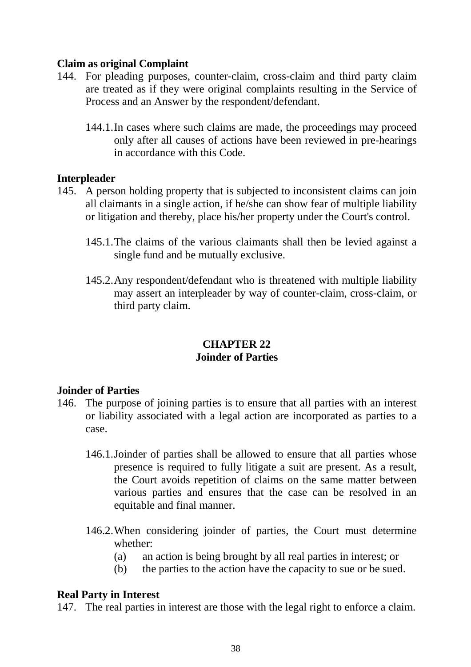## **Claim as original Complaint**

- 144. For pleading purposes, counter-claim, cross-claim and third party claim are treated as if they were original complaints resulting in the Service of Process and an Answer by the respondent/defendant.
	- 144.1.In cases where such claims are made, the proceedings may proceed only after all causes of actions have been reviewed in pre-hearings in accordance with this Code.

#### **Interpleader**

- 145. A person holding property that is subjected to inconsistent claims can join all claimants in a single action, if he/she can show fear of multiple liability or litigation and thereby, place his/her property under the Court's control.
	- 145.1.The claims of the various claimants shall then be levied against a single fund and be mutually exclusive.
	- 145.2.Any respondent/defendant who is threatened with multiple liability may assert an interpleader by way of counter-claim, cross-claim, or third party claim.

## **CHAPTER 22 Joinder of Parties**

#### **Joinder of Parties**

- 146. The purpose of joining parties is to ensure that all parties with an interest or liability associated with a legal action are incorporated as parties to a case.
	- 146.1.Joinder of parties shall be allowed to ensure that all parties whose presence is required to fully litigate a suit are present. As a result, the Court avoids repetition of claims on the same matter between various parties and ensures that the case can be resolved in an equitable and final manner.
	- 146.2.When considering joinder of parties, the Court must determine whether:
		- (a) an action is being brought by all real parties in interest; or
		- (b) the parties to the action have the capacity to sue or be sued.

#### **Real Party in Interest**

147. The real parties in interest are those with the legal right to enforce a claim.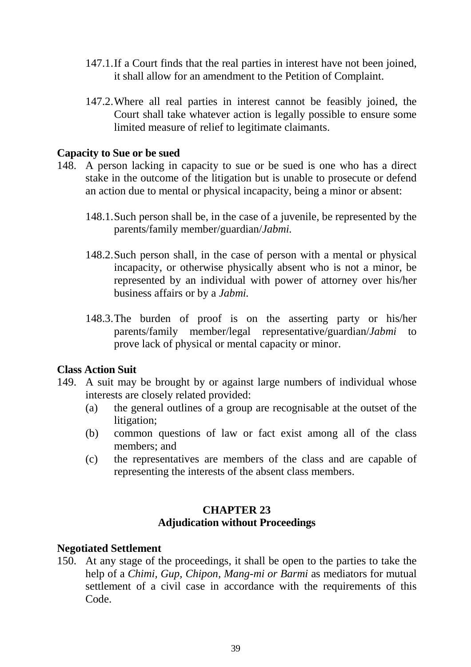- 147.1.If a Court finds that the real parties in interest have not been joined, it shall allow for an amendment to the Petition of Complaint.
- 147.2.Where all real parties in interest cannot be feasibly joined, the Court shall take whatever action is legally possible to ensure some limited measure of relief to legitimate claimants.

#### **Capacity to Sue or be sued**

- 148. A person lacking in capacity to sue or be sued is one who has a direct stake in the outcome of the litigation but is unable to prosecute or defend an action due to mental or physical incapacity, being a minor or absent:
	- 148.1.Such person shall be, in the case of a juvenile, be represented by the parents/family member/guardian/*Jabmi.*
	- 148.2.Such person shall, in the case of person with a mental or physical incapacity, or otherwise physically absent who is not a minor, be represented by an individual with power of attorney over his/her business affairs or by a *Jabmi.*
	- 148.3.The burden of proof is on the asserting party or his/her parents/family member/legal representative/guardian/*Jabmi* to prove lack of physical or mental capacity or minor.

#### **Class Action Suit**

- 149. A suit may be brought by or against large numbers of individual whose interests are closely related provided:
	- (a) the general outlines of a group are recognisable at the outset of the litigation;
	- (b) common questions of law or fact exist among all of the class members; and
	- (c) the representatives are members of the class and are capable of representing the interests of the absent class members.

## **CHAPTER 23 Adjudication without Proceedings**

#### **Negotiated Settlement**

150. At any stage of the proceedings, it shall be open to the parties to take the help of a *Chimi, Gup, Chipon, Mang-mi or Barmi* as mediators for mutual settlement of a civil case in accordance with the requirements of this Code.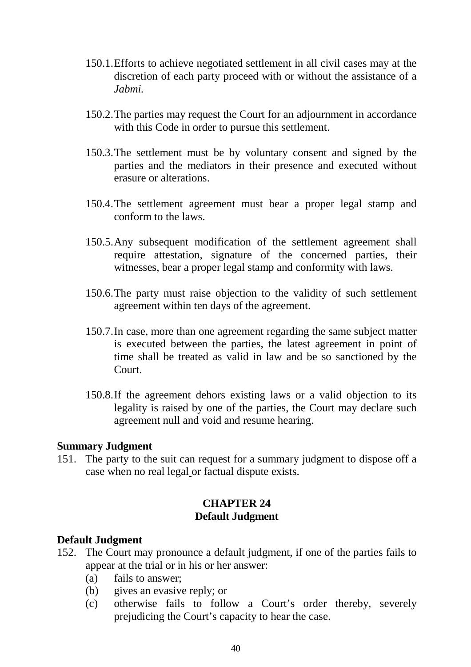- 150.1.Efforts to achieve negotiated settlement in all civil cases may at the discretion of each party proceed with or without the assistance of a *Jabmi.*
- 150.2.The parties may request the Court for an adjournment in accordance with this Code in order to pursue this settlement.
- 150.3.The settlement must be by voluntary consent and signed by the parties and the mediators in their presence and executed without erasure or alterations.
- 150.4.The settlement agreement must bear a proper legal stamp and conform to the laws.
- 150.5.Any subsequent modification of the settlement agreement shall require attestation, signature of the concerned parties, their witnesses, bear a proper legal stamp and conformity with laws.
- 150.6.The party must raise objection to the validity of such settlement agreement within ten days of the agreement.
- 150.7.In case, more than one agreement regarding the same subject matter is executed between the parties, the latest agreement in point of time shall be treated as valid in law and be so sanctioned by the Court.
- 150.8.If the agreement dehors existing laws or a valid objection to its legality is raised by one of the parties, the Court may declare such agreement null and void and resume hearing.

#### **Summary Judgment**

151. The party to the suit can request for a summary judgment to dispose off a case when no real legal or factual dispute exists.

### **CHAPTER 24 Default Judgment**

#### **Default Judgment**

- 152. The Court may pronounce a default judgment, if one of the parties fails to appear at the trial or in his or her answer:
	- (a) fails to answer;
	- (b) gives an evasive reply; or
	- (c) otherwise fails to follow a Court's order thereby, severely prejudicing the Court's capacity to hear the case.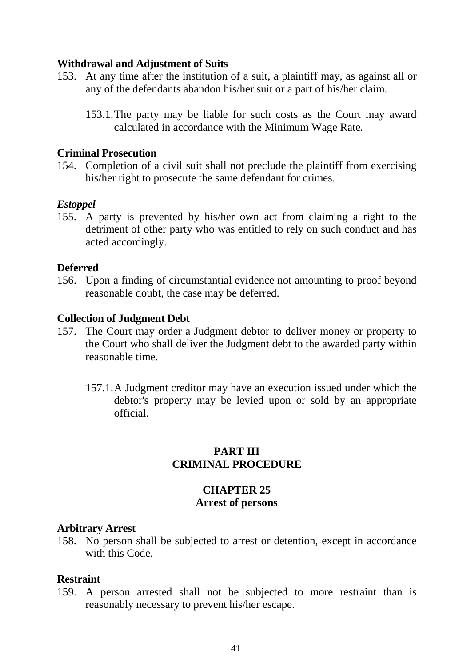#### **Withdrawal and Adjustment of Suits**

- 153. At any time after the institution of a suit, a plaintiff may, as against all or any of the defendants abandon his/her suit or a part of his/her claim.
	- 153.1.The party may be liable for such costs as the Court may award calculated in accordance with the Minimum Wage Rate*.*

#### **Criminal Prosecution**

154. Completion of a civil suit shall not preclude the plaintiff from exercising his/her right to prosecute the same defendant for crimes.

## *Estoppel*

155. A party is prevented by his/her own act from claiming a right to the detriment of other party who was entitled to rely on such conduct and has acted accordingly.

### **Deferred**

156. Upon a finding of circumstantial evidence not amounting to proof beyond reasonable doubt, the case may be deferred.

### **Collection of Judgment Debt**

- 157. The Court may order a Judgment debtor to deliver money or property to the Court who shall deliver the Judgment debt to the awarded party within reasonable time*.*
	- 157.1.A Judgment creditor may have an execution issued under which the debtor's property may be levied upon or sold by an appropriate official.

### **PART III CRIMINAL PROCEDURE**

## **CHAPTER 25 Arrest of persons**

#### **Arbitrary Arrest**

158. No person shall be subjected to arrest or detention, except in accordance with this Code.

#### **Restraint**

159. A person arrested shall not be subjected to more restraint than is reasonably necessary to prevent his/her escape.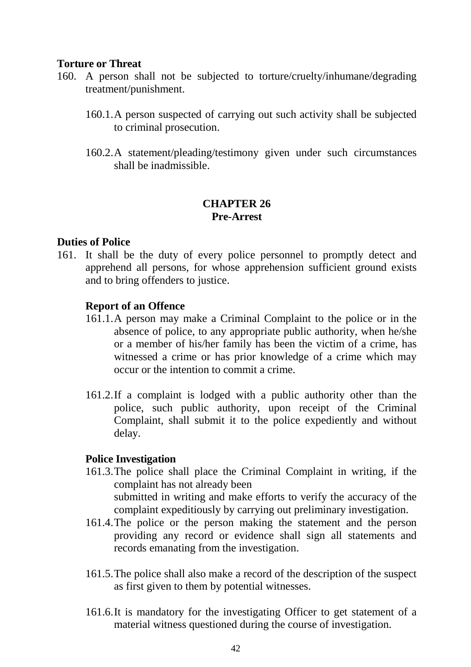#### **Torture or Threat**

- 160. A person shall not be subjected to torture/cruelty/inhumane/degrading treatment/punishment.
	- 160.1.A person suspected of carrying out such activity shall be subjected to criminal prosecution.
	- 160.2.A statement/pleading/testimony given under such circumstances shall be inadmissible.

## **CHAPTER 26 Pre-Arrest**

### **Duties of Police**

161. It shall be the duty of every police personnel to promptly detect and apprehend all persons, for whose apprehension sufficient ground exists and to bring offenders to justice.

### **Report of an Offence**

- 161.1.A person may make a Criminal Complaint to the police or in the absence of police, to any appropriate public authority, when he/she or a member of his/her family has been the victim of a crime, has witnessed a crime or has prior knowledge of a crime which may occur or the intention to commit a crime.
- 161.2.If a complaint is lodged with a public authority other than the police, such public authority, upon receipt of the Criminal Complaint, shall submit it to the police expediently and without delay.

#### **Police Investigation**

- 161.3.The police shall place the Criminal Complaint in writing, if the complaint has not already been submitted in writing and make efforts to verify the accuracy of the complaint expeditiously by carrying out preliminary investigation.
- 161.4.The police or the person making the statement and the person providing any record or evidence shall sign all statements and records emanating from the investigation.
- 161.5.The police shall also make a record of the description of the suspect as first given to them by potential witnesses.
- 161.6.It is mandatory for the investigating Officer to get statement of a material witness questioned during the course of investigation.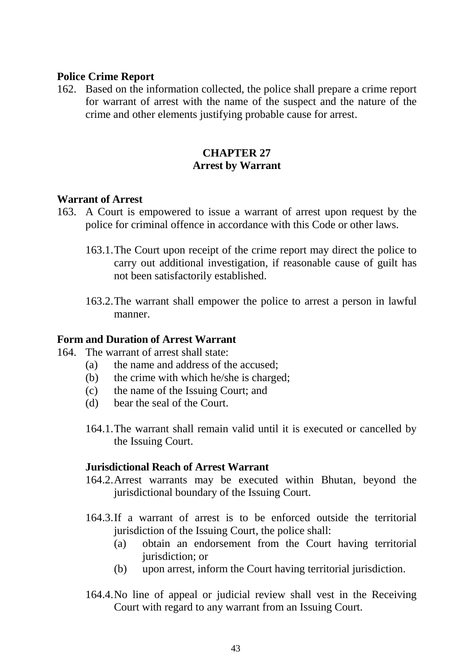### **Police Crime Report**

162. Based on the information collected, the police shall prepare a crime report for warrant of arrest with the name of the suspect and the nature of the crime and other elements justifying probable cause for arrest.

## **CHAPTER 27 Arrest by Warrant**

#### **Warrant of Arrest**

- 163. A Court is empowered to issue a warrant of arrest upon request by the police for criminal offence in accordance with this Code or other laws.
	- 163.1.The Court upon receipt of the crime report may direct the police to carry out additional investigation, if reasonable cause of guilt has not been satisfactorily established.
	- 163.2.The warrant shall empower the police to arrest a person in lawful manner.

#### **Form and Duration of Arrest Warrant**

- 164. The warrant of arrest shall state:
	- (a) the name and address of the accused;
	- (b) the crime with which he/she is charged;
	- (c) the name of the Issuing Court; and
	- (d) bear the seal of the Court.
	- 164.1.The warrant shall remain valid until it is executed or cancelled by the Issuing Court.

#### **Jurisdictional Reach of Arrest Warrant**

- 164.2.Arrest warrants may be executed within Bhutan, beyond the jurisdictional boundary of the Issuing Court.
- 164.3.If a warrant of arrest is to be enforced outside the territorial jurisdiction of the Issuing Court, the police shall:
	- (a) obtain an endorsement from the Court having territorial jurisdiction; or
	- (b) upon arrest, inform the Court having territorial jurisdiction.
- 164.4.No line of appeal or judicial review shall vest in the Receiving Court with regard to any warrant from an Issuing Court.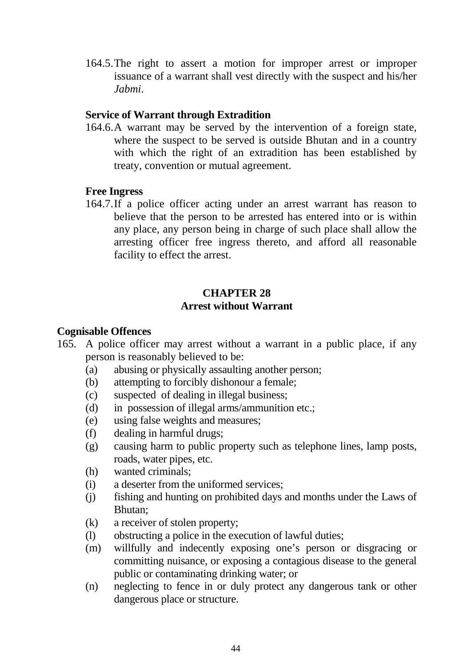164.5.The right to assert a motion for improper arrest or improper issuance of a warrant shall vest directly with the suspect and his/her *Jabmi*.

## **Service of Warrant through Extradition**

164.6.A warrant may be served by the intervention of a foreign state, where the suspect to be served is outside Bhutan and in a country with which the right of an extradition has been established by treaty, convention or mutual agreement.

#### **Free Ingress**

164.7.If a police officer acting under an arrest warrant has reason to believe that the person to be arrested has entered into or is within any place, any person being in charge of such place shall allow the arresting officer free ingress thereto, and afford all reasonable facility to effect the arrest.

## **CHAPTER 28 Arrest without Warrant**

#### **Cognisable Offences**

- 165. A police officer may arrest without a warrant in a public place, if any person is reasonably believed to be:
	- (a) abusing or physically assaulting another person;
	- (b) attempting to forcibly dishonour a female;
	- (c) suspected of dealing in illegal business;
	- (d) in possession of illegal arms/ammunition etc.;
	- (e) using false weights and measures;
	- (f) dealing in harmful drugs;
	- (g) causing harm to public property such as telephone lines, lamp posts, roads, water pipes, etc.
	- (h) wanted criminals;
	- (i) a deserter from the uniformed services;
	- (j) fishing and hunting on prohibited days and months under the Laws of Bhutan;
	- (k) a receiver of stolen property;
	- (l) obstructing a police in the execution of lawful duties;
	- (m) willfully and indecently exposing one's person or disgracing or committing nuisance, or exposing a contagious disease to the general public or contaminating drinking water; or
	- (n) neglecting to fence in or duly protect any dangerous tank or other dangerous place or structure.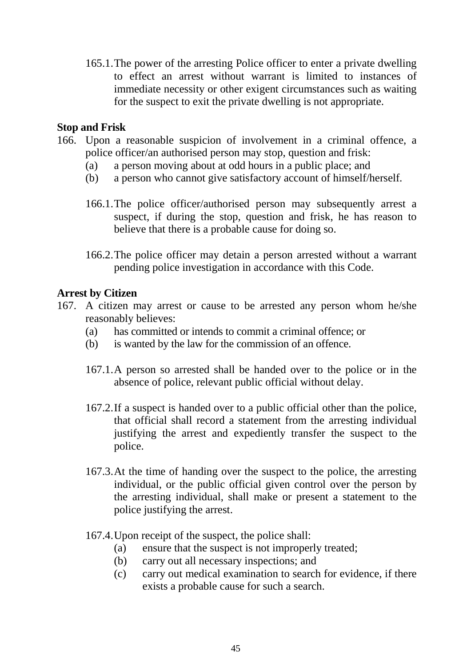165.1.The power of the arresting Police officer to enter a private dwelling to effect an arrest without warrant is limited to instances of immediate necessity or other exigent circumstances such as waiting for the suspect to exit the private dwelling is not appropriate.

#### **Stop and Frisk**

- 166. Upon a reasonable suspicion of involvement in a criminal offence, a police officer/an authorised person may stop, question and frisk:
	- (a) a person moving about at odd hours in a public place; and
	- (b) a person who cannot give satisfactory account of himself/herself.
	- 166.1.The police officer/authorised person may subsequently arrest a suspect, if during the stop, question and frisk, he has reason to believe that there is a probable cause for doing so.
	- 166.2.The police officer may detain a person arrested without a warrant pending police investigation in accordance with this Code.

### **Arrest by Citizen**

- 167. A citizen may arrest or cause to be arrested any person whom he/she reasonably believes:
	- (a) has committed or intends to commit a criminal offence; or
	- (b) is wanted by the law for the commission of an offence.
	- 167.1.A person so arrested shall be handed over to the police or in the absence of police, relevant public official without delay.
	- 167.2.If a suspect is handed over to a public official other than the police, that official shall record a statement from the arresting individual justifying the arrest and expediently transfer the suspect to the police.
	- 167.3.At the time of handing over the suspect to the police, the arresting individual, or the public official given control over the person by the arresting individual, shall make or present a statement to the police justifying the arrest.
	- 167.4.Upon receipt of the suspect, the police shall:
		- (a) ensure that the suspect is not improperly treated;
		- (b) carry out all necessary inspections; and
		- (c) carry out medical examination to search for evidence, if there exists a probable cause for such a search.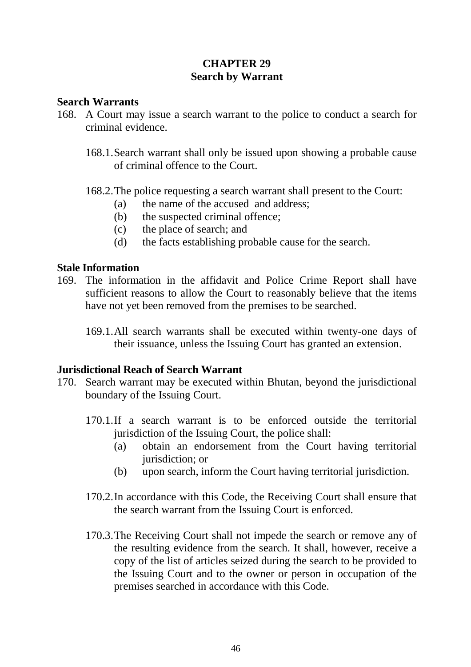## **CHAPTER 29 Search by Warrant**

#### **Search Warrants**

- 168. A Court may issue a search warrant to the police to conduct a search for criminal evidence.
	- 168.1.Search warrant shall only be issued upon showing a probable cause of criminal offence to the Court.
	- 168.2.The police requesting a search warrant shall present to the Court:
		- (a) the name of the accused and address;
		- (b) the suspected criminal offence;
		- (c) the place of search; and
		- (d) the facts establishing probable cause for the search.

### **Stale Information**

- 169. The information in the affidavit and Police Crime Report shall have sufficient reasons to allow the Court to reasonably believe that the items have not yet been removed from the premises to be searched.
	- 169.1.All search warrants shall be executed within twenty-one days of their issuance, unless the Issuing Court has granted an extension.

## **Jurisdictional Reach of Search Warrant**

- 170. Search warrant may be executed within Bhutan, beyond the jurisdictional boundary of the Issuing Court.
	- 170.1.If a search warrant is to be enforced outside the territorial jurisdiction of the Issuing Court, the police shall:
		- (a) obtain an endorsement from the Court having territorial jurisdiction; or
		- (b) upon search, inform the Court having territorial jurisdiction.
	- 170.2.In accordance with this Code, the Receiving Court shall ensure that the search warrant from the Issuing Court is enforced.
	- 170.3.The Receiving Court shall not impede the search or remove any of the resulting evidence from the search. It shall, however, receive a copy of the list of articles seized during the search to be provided to the Issuing Court and to the owner or person in occupation of the premises searched in accordance with this Code.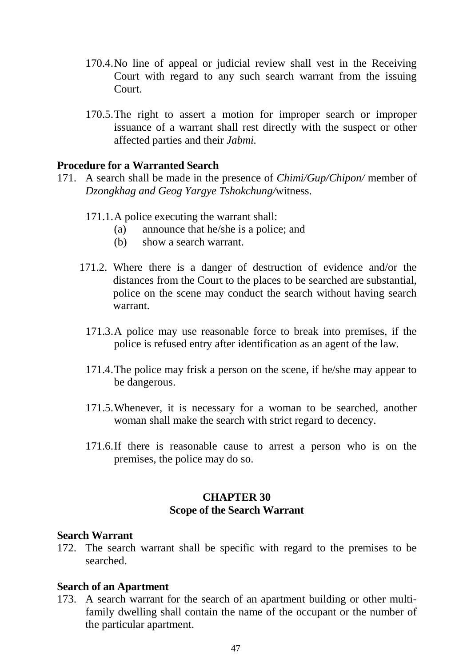- 170.4.No line of appeal or judicial review shall vest in the Receiving Court with regard to any such search warrant from the issuing Court.
- 170.5.The right to assert a motion for improper search or improper issuance of a warrant shall rest directly with the suspect or other affected parties and their *Jabmi.*

#### **Procedure for a Warranted Search**

- 171. A search shall be made in the presence of *Chimi/Gup/Chipon/* member of *Dzongkhag and Geog Yargye Tshokchung/*witness.
	- 171.1.A police executing the warrant shall:
		- (a) announce that he/she is a police; and
		- (b) show a search warrant.
	- 171.2. Where there is a danger of destruction of evidence and/or the distances from the Court to the places to be searched are substantial, police on the scene may conduct the search without having search warrant.
		- 171.3.A police may use reasonable force to break into premises, if the police is refused entry after identification as an agent of the law.
		- 171.4.The police may frisk a person on the scene, if he/she may appear to be dangerous.
		- 171.5.Whenever, it is necessary for a woman to be searched, another woman shall make the search with strict regard to decency.
		- 171.6.If there is reasonable cause to arrest a person who is on the premises, the police may do so.

## **CHAPTER 30 Scope of the Search Warrant**

#### **Search Warrant**

172. The search warrant shall be specific with regard to the premises to be searched.

#### **Search of an Apartment**

173. A search warrant for the search of an apartment building or other multifamily dwelling shall contain the name of the occupant or the number of the particular apartment.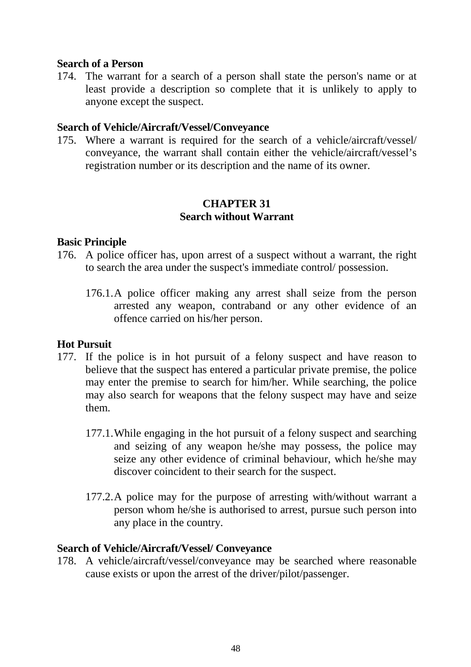#### **Search of a Person**

174. The warrant for a search of a person shall state the person's name or at least provide a description so complete that it is unlikely to apply to anyone except the suspect.

#### **Search of Vehicle/Aircraft/Vessel/Conveyance**

175. Where a warrant is required for the search of a vehicle/aircraft/vessel/ conveyance, the warrant shall contain either the vehicle/aircraft/vessel's registration number or its description and the name of its owner.

#### **CHAPTER 31 Search without Warrant**

#### **Basic Principle**

- 176. A police officer has, upon arrest of a suspect without a warrant, the right to search the area under the suspect's immediate control/ possession.
	- 176.1.A police officer making any arrest shall seize from the person arrested any weapon, contraband or any other evidence of an offence carried on his/her person.

#### **Hot Pursuit**

- 177. If the police is in hot pursuit of a felony suspect and have reason to believe that the suspect has entered a particular private premise, the police may enter the premise to search for him/her. While searching, the police may also search for weapons that the felony suspect may have and seize them.
	- 177.1.While engaging in the hot pursuit of a felony suspect and searching and seizing of any weapon he/she may possess, the police may seize any other evidence of criminal behaviour, which he/she may discover coincident to their search for the suspect.
	- 177.2.A police may for the purpose of arresting with/without warrant a person whom he/she is authorised to arrest, pursue such person into any place in the country.

#### **Search of Vehicle/Aircraft/Vessel/ Conveyance**

178. A vehicle/aircraft/vessel/conveyance may be searched where reasonable cause exists or upon the arrest of the driver/pilot/passenger.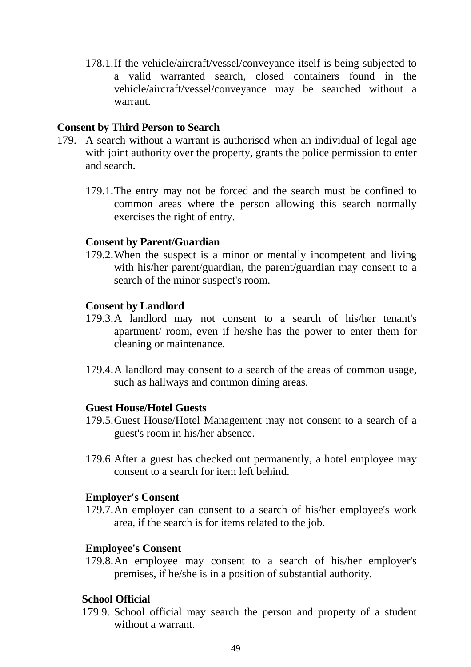178.1.If the vehicle/aircraft/vessel/conveyance itself is being subjected to a valid warranted search, closed containers found in the vehicle/aircraft/vessel/conveyance may be searched without a warrant.

#### **Consent by Third Person to Search**

- 179. A search without a warrant is authorised when an individual of legal age with joint authority over the property, grants the police permission to enter and search.
	- 179.1.The entry may not be forced and the search must be confined to common areas where the person allowing this search normally exercises the right of entry.

#### **Consent by Parent/Guardian**

179.2.When the suspect is a minor or mentally incompetent and living with his/her parent/guardian, the parent/guardian may consent to a search of the minor suspect's room.

#### **Consent by Landlord**

- 179.3.A landlord may not consent to a search of his/her tenant's apartment/ room, even if he/she has the power to enter them for cleaning or maintenance.
- 179.4.A landlord may consent to a search of the areas of common usage, such as hallways and common dining areas.

#### **Guest House/Hotel Guests**

- 179.5.Guest House/Hotel Management may not consent to a search of a guest's room in his/her absence.
- 179.6.After a guest has checked out permanently, a hotel employee may consent to a search for item left behind.

#### **Employer's Consent**

179.7.An employer can consent to a search of his/her employee's work area, if the search is for items related to the job.

#### **Employee's Consent**

179.8.An employee may consent to a search of his/her employer's premises, if he/she is in a position of substantial authority.

#### **School Official**

179.9. School official may search the person and property of a student without a warrant.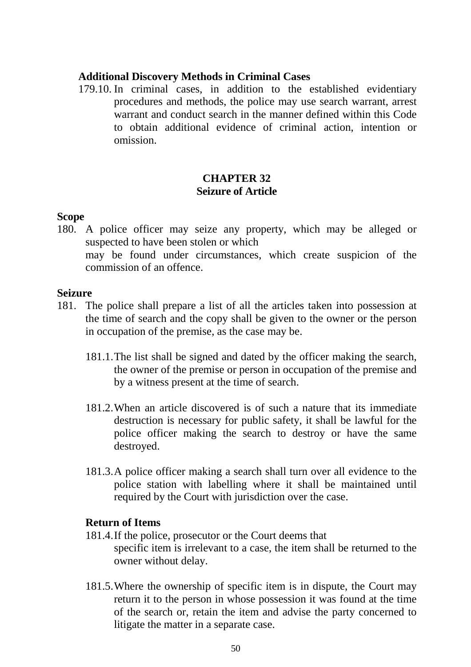#### **Additional Discovery Methods in Criminal Cases**

179.10. In criminal cases, in addition to the established evidentiary procedures and methods, the police may use search warrant, arrest warrant and conduct search in the manner defined within this Code to obtain additional evidence of criminal action, intention or omission.

## **CHAPTER 32 Seizure of Article**

#### **Scope**

180. A police officer may seize any property, which may be alleged or suspected to have been stolen or which may be found under circumstances, which create suspicion of the commission of an offence.

#### **Seizure**

- 181. The police shall prepare a list of all the articles taken into possession at the time of search and the copy shall be given to the owner or the person in occupation of the premise, as the case may be.
	- 181.1.The list shall be signed and dated by the officer making the search, the owner of the premise or person in occupation of the premise and by a witness present at the time of search.
	- 181.2.When an article discovered is of such a nature that its immediate destruction is necessary for public safety, it shall be lawful for the police officer making the search to destroy or have the same destroyed.
	- 181.3.A police officer making a search shall turn over all evidence to the police station with labelling where it shall be maintained until required by the Court with jurisdiction over the case.

#### **Return of Items**

- 181.4.If the police, prosecutor or the Court deems that specific item is irrelevant to a case, the item shall be returned to the owner without delay.
- 181.5.Where the ownership of specific item is in dispute, the Court may return it to the person in whose possession it was found at the time of the search or, retain the item and advise the party concerned to litigate the matter in a separate case.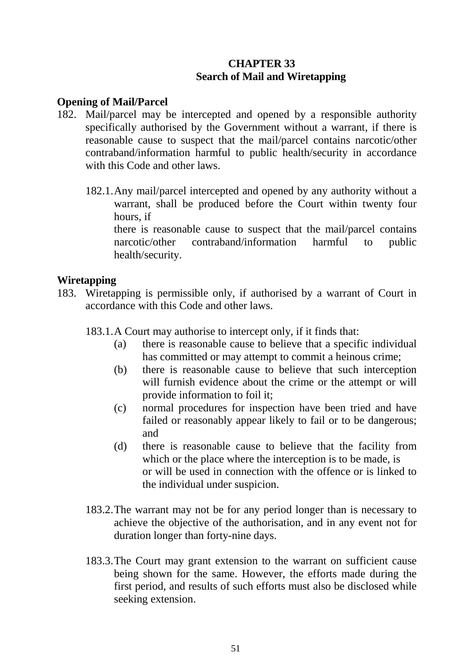## **CHAPTER 33 Search of Mail and Wiretapping**

### **Opening of Mail/Parcel**

- 182. Mail/parcel may be intercepted and opened by a responsible authority specifically authorised by the Government without a warrant, if there is reasonable cause to suspect that the mail/parcel contains narcotic/other contraband/information harmful to public health/security in accordance with this Code and other laws.
	- 182.1.Any mail/parcel intercepted and opened by any authority without a warrant, shall be produced before the Court within twenty four hours, if

there is reasonable cause to suspect that the mail/parcel contains narcotic/other contraband/information harmful to public health/security.

#### **Wiretapping**

- 183. Wiretapping is permissible only, if authorised by a warrant of Court in accordance with this Code and other laws.
	- 183.1.A Court may authorise to intercept only, if it finds that:
		- (a) there is reasonable cause to believe that a specific individual has committed or may attempt to commit a heinous crime;
		- (b) there is reasonable cause to believe that such interception will furnish evidence about the crime or the attempt or will provide information to foil it;
		- (c) normal procedures for inspection have been tried and have failed or reasonably appear likely to fail or to be dangerous; and
		- (d) there is reasonable cause to believe that the facility from which or the place where the interception is to be made, is or will be used in connection with the offence or is linked to the individual under suspicion.
	- 183.2.The warrant may not be for any period longer than is necessary to achieve the objective of the authorisation, and in any event not for duration longer than forty-nine days.
	- 183.3.The Court may grant extension to the warrant on sufficient cause being shown for the same. However, the efforts made during the first period, and results of such efforts must also be disclosed while seeking extension.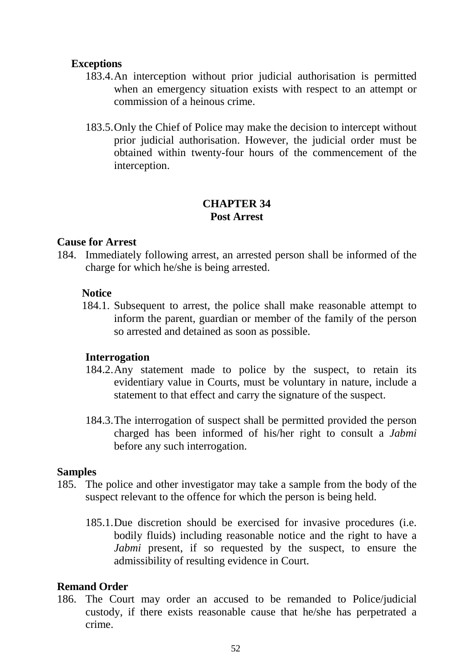#### **Exceptions**

- 183.4.An interception without prior judicial authorisation is permitted when an emergency situation exists with respect to an attempt or commission of a heinous crime.
- 183.5.Only the Chief of Police may make the decision to intercept without prior judicial authorisation. However, the judicial order must be obtained within twenty-four hours of the commencement of the interception.

#### **CHAPTER 34 Post Arrest**

#### **Cause for Arrest**

184. Immediately following arrest, an arrested person shall be informed of the charge for which he/she is being arrested.

#### **Notice**

184.1. Subsequent to arrest, the police shall make reasonable attempt to inform the parent, guardian or member of the family of the person so arrested and detained as soon as possible.

#### **Interrogation**

- 184.2.Any statement made to police by the suspect, to retain its evidentiary value in Courts, must be voluntary in nature, include a statement to that effect and carry the signature of the suspect.
- 184.3.The interrogation of suspect shall be permitted provided the person charged has been informed of his/her right to consult a *Jabmi* before any such interrogation.

#### **Samples**

- 185. The police and other investigator may take a sample from the body of the suspect relevant to the offence for which the person is being held.
	- 185.1.Due discretion should be exercised for invasive procedures (i.e. bodily fluids) including reasonable notice and the right to have a *Jabmi* present, if so requested by the suspect, to ensure the admissibility of resulting evidence in Court.

#### **Remand Order**

186. The Court may order an accused to be remanded to Police/judicial custody, if there exists reasonable cause that he/she has perpetrated a crime.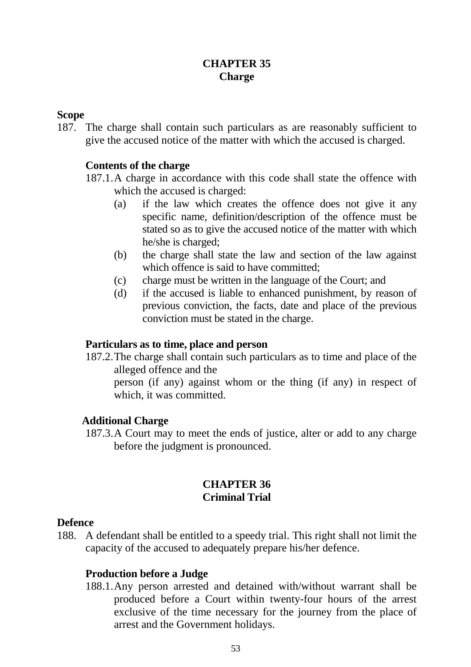## **CHAPTER 35 Charge**

#### **Scope**

187. The charge shall contain such particulars as are reasonably sufficient to give the accused notice of the matter with which the accused is charged.

## **Contents of the charge**

- 187.1.A charge in accordance with this code shall state the offence with which the accused is charged:
	- (a) if the law which creates the offence does not give it any specific name, definition/description of the offence must be stated so as to give the accused notice of the matter with which he/she is charged;
	- (b) the charge shall state the law and section of the law against which offence is said to have committed:
	- (c) charge must be written in the language of the Court; and
	- (d) if the accused is liable to enhanced punishment, by reason of previous conviction, the facts, date and place of the previous conviction must be stated in the charge.

#### **Particulars as to time, place and person**

- 187.2.The charge shall contain such particulars as to time and place of the alleged offence and the
	- person (if any) against whom or the thing (if any) in respect of which, it was committed.

## **Additional Charge**

187.3.A Court may to meet the ends of justice, alter or add to any charge before the judgment is pronounced.

### **CHAPTER 36 Criminal Trial**

#### **Defence**

188. A defendant shall be entitled to a speedy trial. This right shall not limit the capacity of the accused to adequately prepare his/her defence.

## **Production before a Judge**

188.1.Any person arrested and detained with/without warrant shall be produced before a Court within twenty-four hours of the arrest exclusive of the time necessary for the journey from the place of arrest and the Government holidays.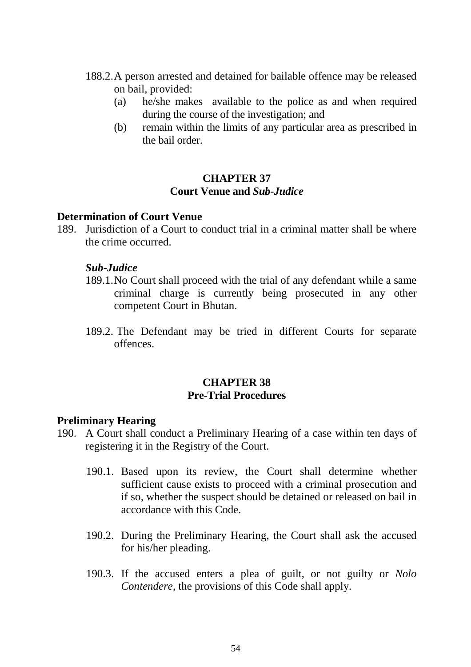- 188.2.A person arrested and detained for bailable offence may be released on bail, provided:
	- (a) he/she makes available to the police as and when required during the course of the investigation; and
	- (b) remain within the limits of any particular area as prescribed in the bail order.

## **CHAPTER 37 Court Venue and** *Sub-Judice*

### **Determination of Court Venue**

189. Jurisdiction of a Court to conduct trial in a criminal matter shall be where the crime occurred.

#### *Sub-Judice*

- 189.1.No Court shall proceed with the trial of any defendant while a same criminal charge is currently being prosecuted in any other competent Court in Bhutan.
- 189.2. The Defendant may be tried in different Courts for separate offences.

## **CHAPTER 38 Pre-Trial Procedures**

#### **Preliminary Hearing**

- 190. A Court shall conduct a Preliminary Hearing of a case within ten days of registering it in the Registry of the Court.
	- 190.1. Based upon its review, the Court shall determine whether sufficient cause exists to proceed with a criminal prosecution and if so, whether the suspect should be detained or released on bail in accordance with this Code.
	- 190.2. During the Preliminary Hearing, the Court shall ask the accused for his/her pleading.
	- 190.3. If the accused enters a plea of guilt, or not guilty or *Nolo Contendere*, the provisions of this Code shall apply.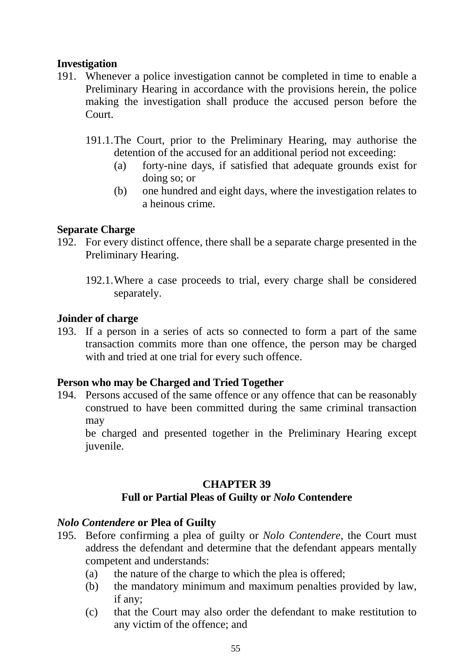## **Investigation**

- 191. Whenever a police investigation cannot be completed in time to enable a Preliminary Hearing in accordance with the provisions herein, the police making the investigation shall produce the accused person before the Court.
	- 191.1.The Court, prior to the Preliminary Hearing, may authorise the detention of the accused for an additional period not exceeding:
		- (a) forty-nine days, if satisfied that adequate grounds exist for doing so; or
		- (b) one hundred and eight days, where the investigation relates to a heinous crime.

### **Separate Charge**

- 192. For every distinct offence, there shall be a separate charge presented in the Preliminary Hearing.
	- 192.1.Where a case proceeds to trial, every charge shall be considered separately.

#### **Joinder of charge**

193. If a person in a series of acts so connected to form a part of the same transaction commits more than one offence, the person may be charged with and tried at one trial for every such offence.

## **Person who may be Charged and Tried Together**

194. Persons accused of the same offence or any offence that can be reasonably construed to have been committed during the same criminal transaction may

be charged and presented together in the Preliminary Hearing except juvenile.

## **CHAPTER 39**

## **Full or Partial Pleas of Guilty or** *Nolo* **Contendere**

#### *Nolo Contendere* **or Plea of Guilty**

- 195. Before confirming a plea of guilty or *Nolo Contendere*, the Court must address the defendant and determine that the defendant appears mentally competent and understands:
	- (a) the nature of the charge to which the plea is offered;
	- (b) the mandatory minimum and maximum penalties provided by law, if any;
	- (c) that the Court may also order the defendant to make restitution to any victim of the offence; and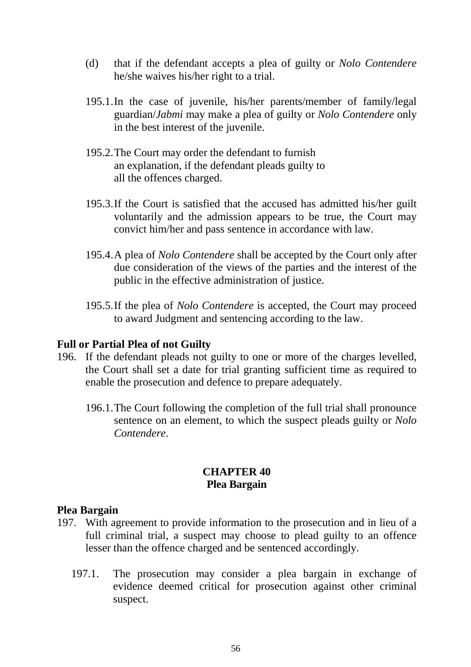- (d) that if the defendant accepts a plea of guilty or *Nolo Contendere* he/she waives his/her right to a trial.
- 195.1.In the case of juvenile, his/her parents/member of family/legal guardian/*Jabmi* may make a plea of guilty or *Nolo Contendere* only in the best interest of the juvenile.
- 195.2.The Court may order the defendant to furnish an explanation, if the defendant pleads guilty to all the offences charged.
- 195.3.If the Court is satisfied that the accused has admitted his/her guilt voluntarily and the admission appears to be true, the Court may convict him/her and pass sentence in accordance with law.
- 195.4.A plea of *Nolo Contendere* shall be accepted by the Court only after due consideration of the views of the parties and the interest of the public in the effective administration of justice.
- 195.5.If the plea of *Nolo Contendere* is accepted, the Court may proceed to award Judgment and sentencing according to the law.

#### **Full or Partial Plea of not Guilty**

- 196. If the defendant pleads not guilty to one or more of the charges levelled, the Court shall set a date for trial granting sufficient time as required to enable the prosecution and defence to prepare adequately.
	- 196.1.The Court following the completion of the full trial shall pronounce sentence on an element, to which the suspect pleads guilty or *Nolo Contendere*.

## **CHAPTER 40 Plea Bargain**

#### **Plea Bargain**

- 197. With agreement to provide information to the prosecution and in lieu of a full criminal trial, a suspect may choose to plead guilty to an offence lesser than the offence charged and be sentenced accordingly.
	- 197.1. The prosecution may consider a plea bargain in exchange of evidence deemed critical for prosecution against other criminal suspect.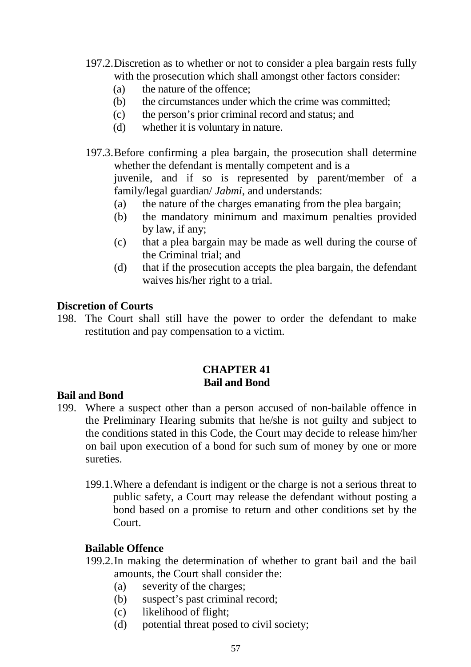- 197.2.Discretion as to whether or not to consider a plea bargain rests fully with the prosecution which shall amongst other factors consider:
	- (a) the nature of the offence;
	- (b) the circumstances under which the crime was committed;
	- (c) the person's prior criminal record and status; and
	- (d) whether it is voluntary in nature.
- 197.3.Before confirming a plea bargain, the prosecution shall determine whether the defendant is mentally competent and is a juvenile, and if so is represented by parent/member of a family/legal guardian/ *Jabmi*, and understands:
	- (a) the nature of the charges emanating from the plea bargain;
	- (b) the mandatory minimum and maximum penalties provided by law, if any;
	- (c) that a plea bargain may be made as well during the course of the Criminal trial; and
	- (d) that if the prosecution accepts the plea bargain, the defendant waives his/her right to a trial.

### **Discretion of Courts**

198. The Court shall still have the power to order the defendant to make restitution and pay compensation to a victim.

### **CHAPTER 41 Bail and Bond**

#### **Bail and Bond**

- 199. Where a suspect other than a person accused of non-bailable offence in the Preliminary Hearing submits that he/she is not guilty and subject to the conditions stated in this Code, the Court may decide to release him/her on bail upon execution of a bond for such sum of money by one or more sureties.
	- 199.1.Where a defendant is indigent or the charge is not a serious threat to public safety, a Court may release the defendant without posting a bond based on a promise to return and other conditions set by the Court.

#### **Bailable Offence**

- 199.2.In making the determination of whether to grant bail and the bail amounts, the Court shall consider the:
	- (a) severity of the charges;
	- (b) suspect's past criminal record;
	- (c) likelihood of flight;
	- (d) potential threat posed to civil society;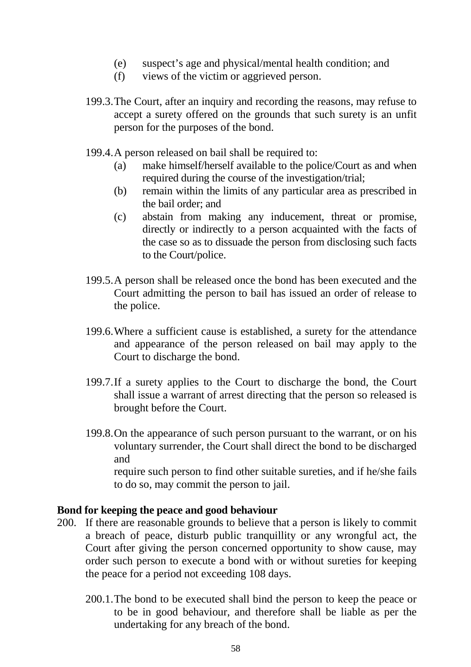- (e) suspect's age and physical/mental health condition; and
- (f) views of the victim or aggrieved person.
- 199.3.The Court, after an inquiry and recording the reasons, may refuse to accept a surety offered on the grounds that such surety is an unfit person for the purposes of the bond.
- 199.4.A person released on bail shall be required to:
	- (a) make himself/herself available to the police/Court as and when required during the course of the investigation/trial;
	- (b) remain within the limits of any particular area as prescribed in the bail order; and
	- (c) abstain from making any inducement, threat or promise, directly or indirectly to a person acquainted with the facts of the case so as to dissuade the person from disclosing such facts to the Court/police.
- 199.5.A person shall be released once the bond has been executed and the Court admitting the person to bail has issued an order of release to the police.
- 199.6.Where a sufficient cause is established, a surety for the attendance and appearance of the person released on bail may apply to the Court to discharge the bond.
- 199.7.If a surety applies to the Court to discharge the bond, the Court shall issue a warrant of arrest directing that the person so released is brought before the Court.
- 199.8.On the appearance of such person pursuant to the warrant, or on his voluntary surrender, the Court shall direct the bond to be discharged and require such person to find other suitable sureties, and if he/she fails

to do so, may commit the person to jail.

#### **Bond for keeping the peace and good behaviour**

- 200. If there are reasonable grounds to believe that a person is likely to commit a breach of peace, disturb public tranquillity or any wrongful act, the Court after giving the person concerned opportunity to show cause, may order such person to execute a bond with or without sureties for keeping the peace for a period not exceeding 108 days.
	- 200.1.The bond to be executed shall bind the person to keep the peace or to be in good behaviour, and therefore shall be liable as per the undertaking for any breach of the bond.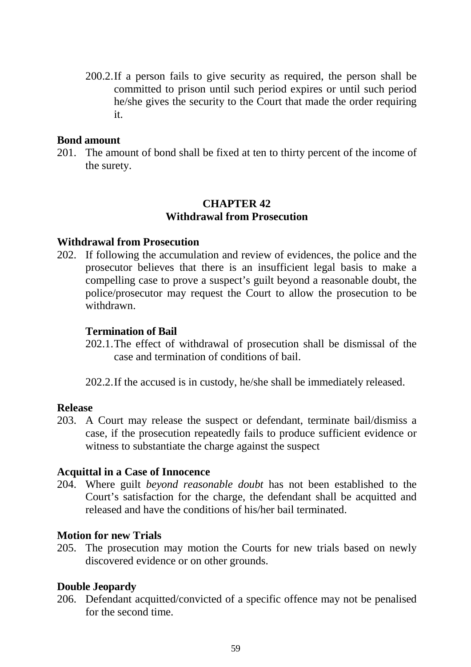200.2.If a person fails to give security as required, the person shall be committed to prison until such period expires or until such period he/she gives the security to the Court that made the order requiring it.

#### **Bond amount**

201. The amount of bond shall be fixed at ten to thirty percent of the income of the surety.

## **CHAPTER 42 Withdrawal from Prosecution**

#### **Withdrawal from Prosecution**

202. If following the accumulation and review of evidences, the police and the prosecutor believes that there is an insufficient legal basis to make a compelling case to prove a suspect's guilt beyond a reasonable doubt, the police/prosecutor may request the Court to allow the prosecution to be withdrawn.

#### **Termination of Bail**

202.1.The effect of withdrawal of prosecution shall be dismissal of the case and termination of conditions of bail.

202.2.If the accused is in custody, he/she shall be immediately released.

#### **Release**

203. A Court may release the suspect or defendant, terminate bail/dismiss a case, if the prosecution repeatedly fails to produce sufficient evidence or witness to substantiate the charge against the suspect

#### **Acquittal in a Case of Innocence**

204. Where guilt *beyond reasonable doubt* has not been established to the Court's satisfaction for the charge, the defendant shall be acquitted and released and have the conditions of his/her bail terminated.

#### **Motion for new Trials**

205. The prosecution may motion the Courts for new trials based on newly discovered evidence or on other grounds.

#### **Double Jeopardy**

206. Defendant acquitted/convicted of a specific offence may not be penalised for the second time.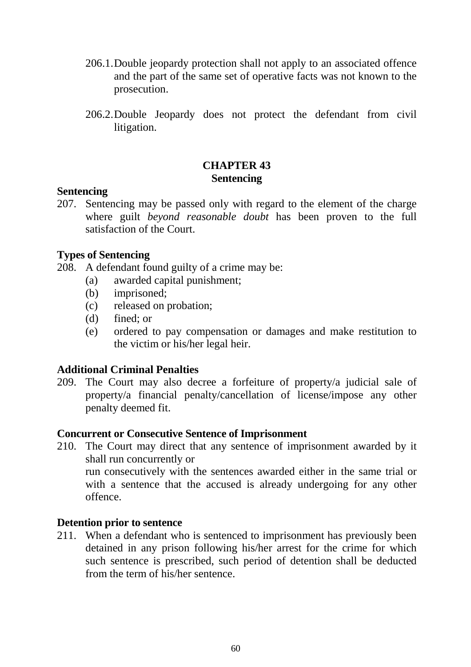- 206.1.Double jeopardy protection shall not apply to an associated offence and the part of the same set of operative facts was not known to the prosecution.
- 206.2.Double Jeopardy does not protect the defendant from civil litigation.

## **CHAPTER 43 Sentencing**

#### **Sentencing**

207. Sentencing may be passed only with regard to the element of the charge where guilt *beyond reasonable doubt* has been proven to the full satisfaction of the Court.

## **Types of Sentencing**

208. A defendant found guilty of a crime may be:

- (a) awarded capital punishment;
- (b) imprisoned;
- (c) released on probation;
- (d) fined; or
- (e) ordered to pay compensation or damages and make restitution to the victim or his/her legal heir.

## **Additional Criminal Penalties**

209. The Court may also decree a forfeiture of property/a judicial sale of property/a financial penalty/cancellation of license/impose any other penalty deemed fit.

#### **Concurrent or Consecutive Sentence of Imprisonment**

210. The Court may direct that any sentence of imprisonment awarded by it shall run concurrently or run consecutively with the sentences awarded either in the same trial or with a sentence that the accused is already undergoing for any other offence.

#### **Detention prior to sentence**

211. When a defendant who is sentenced to imprisonment has previously been detained in any prison following his/her arrest for the crime for which such sentence is prescribed, such period of detention shall be deducted from the term of his/her sentence.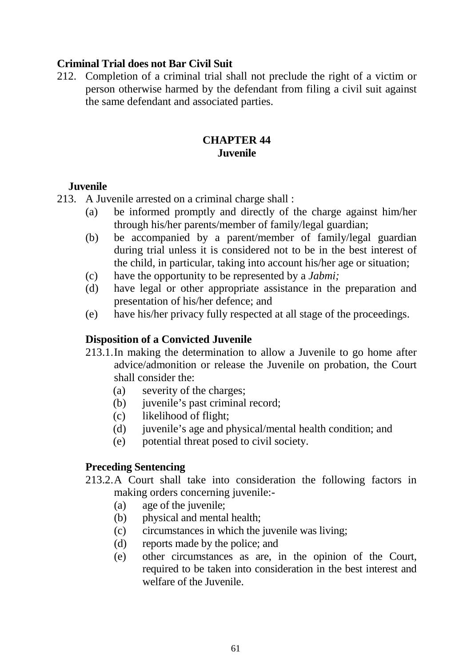## **Criminal Trial does not Bar Civil Suit**

212. Completion of a criminal trial shall not preclude the right of a victim or person otherwise harmed by the defendant from filing a civil suit against the same defendant and associated parties.

## **CHAPTER 44 Juvenile**

#### **Juvenile**

213. A Juvenile arrested on a criminal charge shall :

- (a) be informed promptly and directly of the charge against him/her through his/her parents/member of family/legal guardian;
- (b) be accompanied by a parent/member of family/legal guardian during trial unless it is considered not to be in the best interest of the child, in particular, taking into account his/her age or situation;
- (c) have the opportunity to be represented by a *Jabmi;*
- (d) have legal or other appropriate assistance in the preparation and presentation of his/her defence; and
- (e) have his/her privacy fully respected at all stage of the proceedings.

#### **Disposition of a Convicted Juvenile**

- 213.1.In making the determination to allow a Juvenile to go home after advice/admonition or release the Juvenile on probation, the Court shall consider the:
	- (a) severity of the charges;
	- (b) juvenile's past criminal record;
	- (c) likelihood of flight;
	- (d) juvenile's age and physical/mental health condition; and
	- (e) potential threat posed to civil society.

#### **Preceding Sentencing**

- 213.2.A Court shall take into consideration the following factors in making orders concerning juvenile:-
	- (a) age of the juvenile;
	- (b) physical and mental health;
	- (c) circumstances in which the juvenile was living;
	- (d) reports made by the police; and
	- (e) other circumstances as are, in the opinion of the Court, required to be taken into consideration in the best interest and welfare of the Juvenile.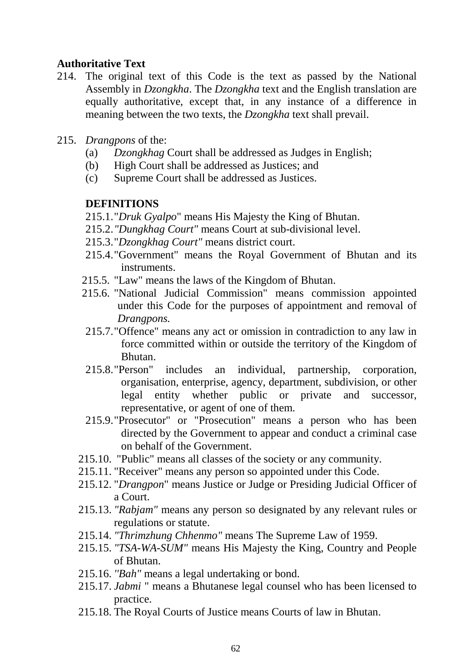### **Authoritative Text**

- 214. The original text of this Code is the text as passed by the National Assembly in *Dzongkha*. The *Dzongkha* text and the English translation are equally authoritative, except that, in any instance of a difference in meaning between the two texts, the *Dzongkha* text shall prevail.
- 215. *Drangpons* of the:
	- (a) *Dzongkhag* Court shall be addressed as Judges in English;
	- (b) High Court shall be addressed as Justices; and
	- (c) Supreme Court shall be addressed as Justices.

## **DEFINITIONS**

- 215.1."*Druk Gyalpo*" means His Majesty the King of Bhutan.
- 215.2.*"Dungkhag Court"* means Court at sub-divisional level.
- 215.3."*Dzongkhag Court"* means district court.
- 215.4."Government" means the Royal Government of Bhutan and its instruments.
- 215.5. "Law" means the laws of the Kingdom of Bhutan.
- 215.6. "National Judicial Commission" means commission appointed under this Code for the purposes of appointment and removal of *Drangpons.*
- 215.7."Offence" means any act or omission in contradiction to any law in force committed within or outside the territory of the Kingdom of Bhutan.
- 215.8."Person" includes an individual, partnership, corporation, organisation, enterprise, agency, department, subdivision, or other legal entity whether public or private and successor, representative, or agent of one of them.
- 215.9."Prosecutor" or "Prosecution" means a person who has been directed by the Government to appear and conduct a criminal case on behalf of the Government.
- 215.10. "Public" means all classes of the society or any community.
- 215.11. "Receiver" means any person so appointed under this Code.
- 215.12. "*Drangpon*" means Justice or Judge or Presiding Judicial Officer of a Court.
- 215.13. *"Rabjam"* means any person so designated by any relevant rules or regulations or statute.
- 215.14. *"Thrimzhung Chhenmo"* means The Supreme Law of 1959.
- 215.15. *"TSA-WA-SUM"* means His Majesty the King, Country and People of Bhutan.
- 215.16. *''Bah"* means a legal undertaking or bond.
- 215.17. *Jabmi* " means a Bhutanese legal counsel who has been licensed to practice.
- 215.18. The Royal Courts of Justice means Courts of law in Bhutan.